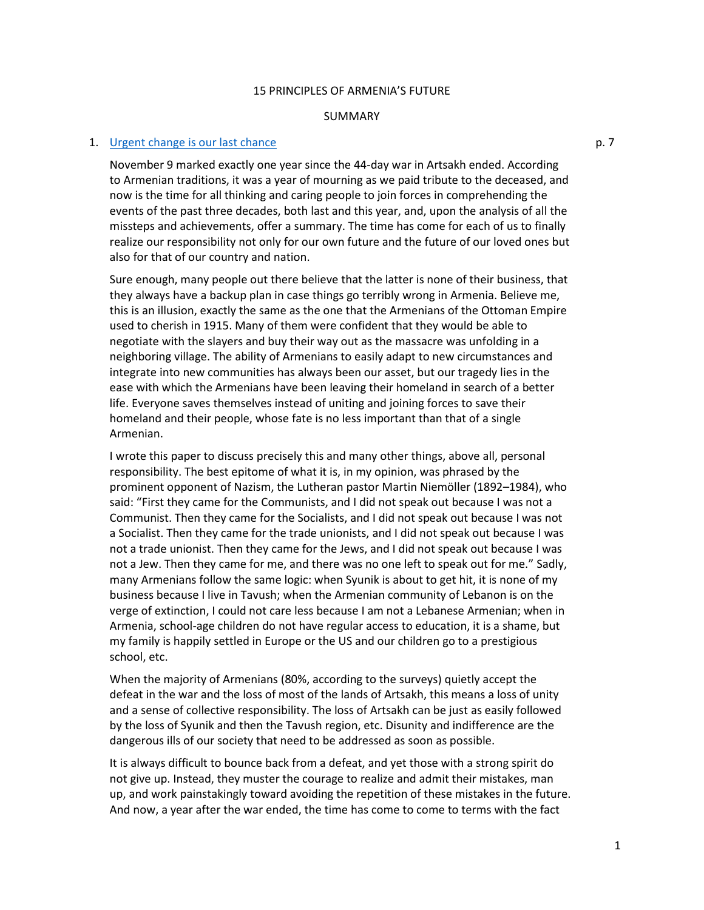#### 15 PRINCIPLES OF ARMENIA'S FUTURE

#### SUMMARY

#### 1. [Urgent change is our last chance](#page-6-0)

November 9 marked exactly one year since the 44-day war in Artsakh ended. According to Armenian traditions, it was a year of mourning as we paid tribute to the deceased, and now is the time for all thinking and caring people to join forces in comprehending the events of the past three decades, both last and this year, and, upon the analysis of all the missteps and achievements, offer a summary. The time has come for each of us to finally realize our responsibility not only for our own future and the future of our loved ones but also for that of our country and nation.

Sure enough, many people out there believe that the latter is none of their business, that they always have a backup plan in case things go terribly wrong in Armenia. Believe me, this is an illusion, exactly the same as the one that the Armenians of the Ottoman Empire used to cherish in 1915. Many of them were confident that they would be able to negotiate with the slayers and buy their way out as the massacre was unfolding in a neighboring village. The ability of Armenians to easily adapt to new circumstances and integrate into new communities has always been our asset, but our tragedy lies in the ease with which the Armenians have been leaving their homeland in search of a better life. Everyone saves themselves instead of uniting and joining forces to save their homeland and their people, whose fate is no less important than that of a single Armenian.

I wrote this paper to discuss precisely this and many other things, above all, personal responsibility. The best epitome of what it is, in my opinion, was phrased by the prominent opponent of Nazism, the Lutheran pastor Martin Niemöller (1892–1984), who said: "First they came for the Communists, and I did not speak out because I was not a Communist. Then they came for the Socialists, and I did not speak out because I was not a Socialist. Then they came for the trade unionists, and I did not speak out because I was not a trade unionist. Then they came for the Jews, and I did not speak out because I was not a Jew. Then they came for me, and there was no one left to speak out for me." Sadly, many Armenians follow the same logic: when Syunik is about to get hit, it is none of my business because I live in Tavush; when the Armenian community of Lebanon is on the verge of extinction, I could not care less because I am not a Lebanese Armenian; when in Armenia, school-age children do not have regular access to education, it is a shame, but my family is happily settled in Europe or the US and our children go to a prestigious school, etc.

When the majority of Armenians (80%, according to the surveys) quietly accept the defeat in the war and the loss of most of the lands of Artsakh, this means a loss of unity and a sense of collective responsibility. The loss of Artsakh can be just as easily followed by the loss of Syunik and then the Tavush region, etc. Disunity and indifference are the dangerous ills of our society that need to be addressed as soon as possible.

It is always difficult to bounce back from a defeat, and yet those with a strong spirit do not give up. Instead, they muster the courage to realize and admit their mistakes, man up, and work painstakingly toward avoiding the repetition of these mistakes in the future. And now, a year after the war ended, the time has come to come to terms with the fact

p. 7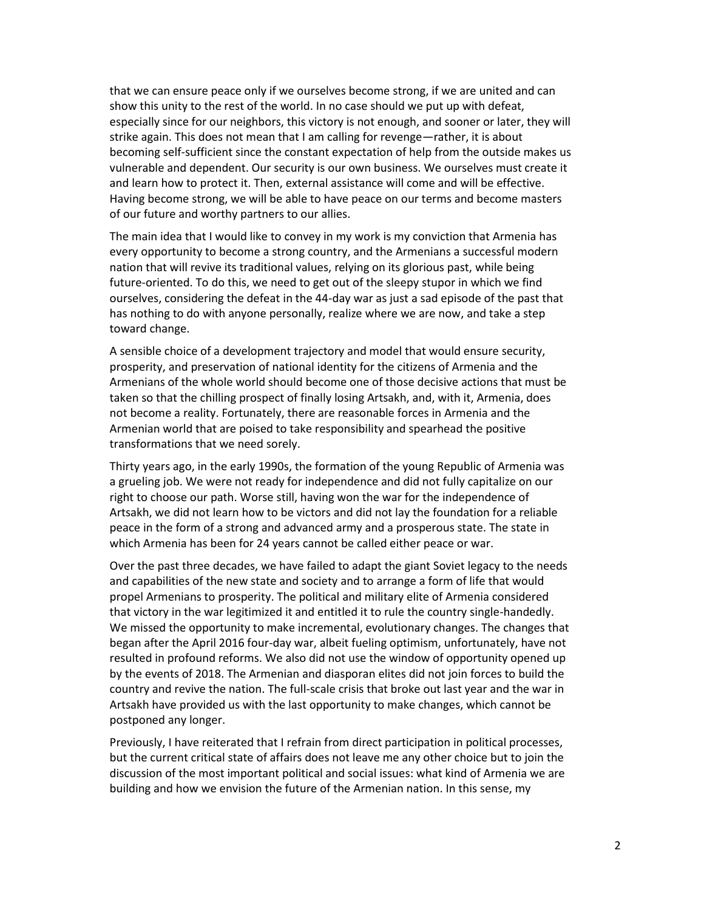that we can ensure peace only if we ourselves become strong, if we are united and can show this unity to the rest of the world. In no case should we put up with defeat, especially since for our neighbors, this victory is not enough, and sooner or later, they will strike again. This does not mean that I am calling for revenge—rather, it is about becoming self-sufficient since the constant expectation of help from the outside makes us vulnerable and dependent. Our security is our own business. We ourselves must create it and learn how to protect it. Then, external assistance will come and will be effective. Having become strong, we will be able to have peace on our terms and become masters of our future and worthy partners to our allies.

The main idea that I would like to convey in my work is my conviction that Armenia has every opportunity to become a strong country, and the Armenians a successful modern nation that will revive its traditional values, relying on its glorious past, while being future-oriented. To do this, we need to get out of the sleepy stupor in which we find ourselves, considering the defeat in the 44-day war as just a sad episode of the past that has nothing to do with anyone personally, realize where we are now, and take a step toward change.

A sensible choice of a development trajectory and model that would ensure security, prosperity, and preservation of national identity for the citizens of Armenia and the Armenians of the whole world should become one of those decisive actions that must be taken so that the chilling prospect of finally losing Artsakh, and, with it, Armenia, does not become a reality. Fortunately, there are reasonable forces in Armenia and the Armenian world that are poised to take responsibility and spearhead the positive transformations that we need sorely.

Thirty years ago, in the early 1990s, the formation of the young Republic of Armenia was a grueling job. We were not ready for independence and did not fully capitalize on our right to choose our path. Worse still, having won the war for the independence of Artsakh, we did not learn how to be victors and did not lay the foundation for a reliable peace in the form of a strong and advanced army and a prosperous state. The state in which Armenia has been for 24 years cannot be called either peace or war.

Over the past three decades, we have failed to adapt the giant Soviet legacy to the needs and capabilities of the new state and society and to arrange a form of life that would propel Armenians to prosperity. The political and military elite of Armenia considered that victory in the war legitimized it and entitled it to rule the country single-handedly. We missed the opportunity to make incremental, evolutionary changes. The changes that began after the April 2016 four-day war, albeit fueling optimism, unfortunately, have not resulted in profound reforms. We also did not use the window of opportunity opened up by the events of 2018. The Armenian and diasporan elites did not join forces to build the country and revive the nation. The full-scale crisis that broke out last year and the war in Artsakh have provided us with the last opportunity to make changes, which cannot be postponed any longer.

Previously, I have reiterated that I refrain from direct participation in political processes, but the current critical state of affairs does not leave me any other choice but to join the discussion of the most important political and social issues: what kind of Armenia we are building and how we envision the future of the Armenian nation. In this sense, my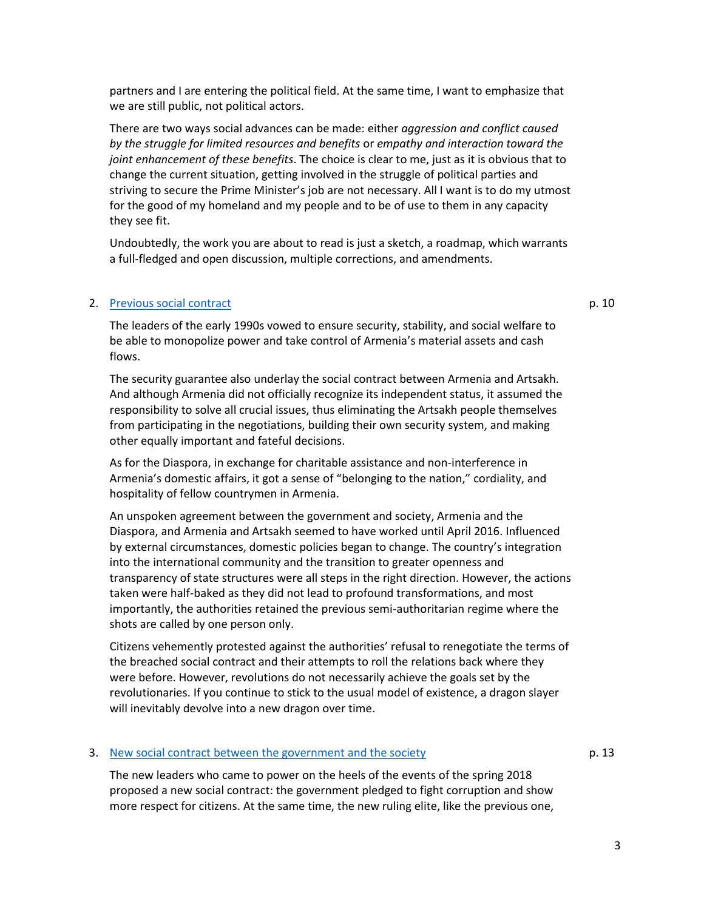partners and I are entering the political field. At the same time, I want to emphasize that we are still public, not political actors.

There are two ways social advances can be made: either *aggression and conflict caused by the struggle for limited resources and benefits* or *empathy and interaction toward the joint enhancement of these benefits*. The choice is clear to me, just as it is obvious that to change the current situation, getting involved in the struggle of political parties and striving to secure the Prime Minister's job are not necessary. All I want is to do my utmost for the good of my homeland and my people and to be of use to them in any capacity they see fit.

Undoubtedly, the work you are about to read is just a sketch, a roadmap, which warrants a full-fledged and open discussion, multiple corrections, and amendments.

#### 2. [Previous social contract](#page-9-0)

The leaders of the early 1990s vowed to ensure security, stability, and social welfare to be able to monopolize power and take control of Armenia's material assets and cash flows.

The security guarantee also underlay the social contract between Armenia and Artsakh. And although Armenia did not officially recognize its independent status, it assumed the responsibility to solve all crucial issues, thus eliminating the Artsakh people themselves from participating in the negotiations, building their own security system, and making other equally important and fateful decisions.

As for the Diaspora, in exchange for charitable assistance and non-interference in Armenia's domestic affairs, it got a sense of "belonging to the nation," cordiality, and hospitality of fellow countrymen in Armenia.

An unspoken agreement between the government and society, Armenia and the Diaspora, and Armenia and Artsakh seemed to have worked until April 2016. Influenced by external circumstances, domestic policies began to change. The country's integration into the international community and the transition to greater openness and transparency of state structures were all steps in the right direction. However, the actions taken were half-baked as they did not lead to profound transformations, and most importantly, the authorities retained the previous semi-authoritarian regime where the shots are called by one person only.

Citizens vehemently protested against the authorities' refusal to renegotiate the terms of the breached social contract and their attempts to roll the relations back where they were before. However, revolutions do not necessarily achieve the goals set by the revolutionaries. If you continue to stick to the usual model of existence, a dragon slayer will inevitably devolve into a new dragon over time.

#### 3. [New social contract between the government and the society](#page-12-0)

p. 13

The new leaders who came to power on the heels of the events of the spring 2018 proposed a new social contract: the government pledged to fight corruption and show more respect for citizens. At the same time, the new ruling elite, like the previous one,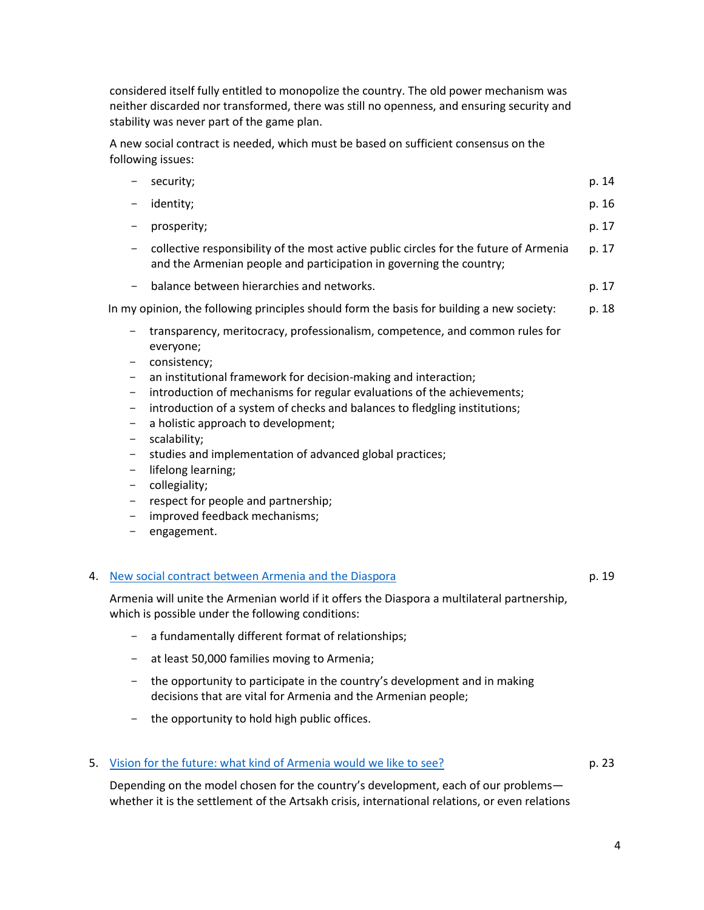considered itself fully entitled to monopolize the country. The old power mechanism was neither discarded nor transformed, there was still no openness, and ensuring security and stability was never part of the game plan.

A new social contract is needed, which must be based on sufficient consensus on the following issues:

| - security;   | p. 14 |
|---------------|-------|
| - identity;   | p. 16 |
| - prosperity; | p. 17 |

- collective responsibility of the most active public circles for the future of Armenia and the Armenian people and participation in governing the country; p. 17
- balance between hierarchies and networks. p. 17

In my opinion, the following principles should form the basis for building a new society: p. 18

- transparency, meritocracy, professionalism, competence, and common rules for everyone;
- consistency;
- an institutional framework for decision-making and interaction;
- introduction of mechanisms for regular evaluations of the achievements;
- introduction of a system of checks and balances to fledgling institutions;
- a holistic approach to development;
- scalability;
- studies and implementation of advanced global practices;
- lifelong learning;
- collegiality;
- respect for people and partnership;
- improved feedback mechanisms;
- engagement.

#### 4. [New social contract between Armenia and the Diaspora](#page-18-0)

Armenia will unite the Armenian world if it offers the Diaspora a multilateral partnership, which is possible under the following conditions:

- a fundamentally different format of relationships;
- at least 50,000 families moving to Armenia;
- the opportunity to participate in the country's development and in making decisions that are vital for Armenia and the Armenian people;
- the opportunity to hold high public offices.

#### 5. Vision for [the future: what kind of Armenia would we like to see?](#page-22-0)

Depending on the model chosen for the country's development, each of our problems whether it is the settlement of the Artsakh crisis, international relations, or even relations p. 23

p. 19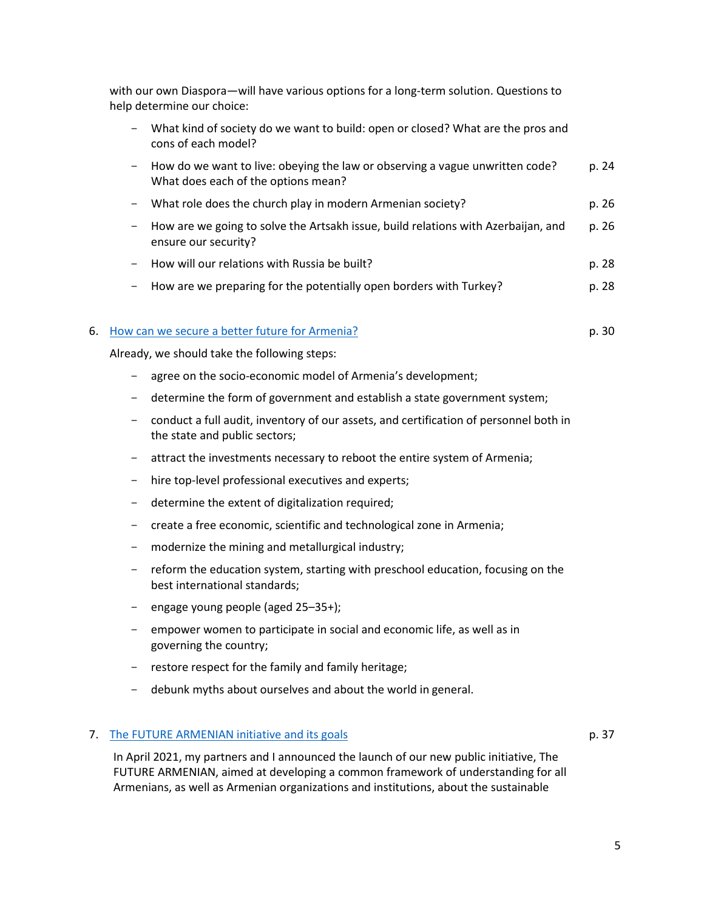with our own Diaspora—will have various options for a long-term solution. Questions to help determine our choice:

- What kind of society do we want to build: open or closed? What are the pros and cons of each model?
- How do we want to live: obeying the law or observing a vague unwritten code? What does each of the options mean? p. 24
- What role does the church play in modern Armenian society? p. 26
- How are we going to solve the Artsakh issue, build relations with Azerbaijan, and ensure our security? p. 26
- How will our relations with Russia be built? p. 28
- How are we preparing for the potentially open borders with Turkey? p. 28

#### 6. [How can we secure a better future for Armenia?](#page-29-0)

p. 30

Already, we should take the following steps:

- agree on the socio-economic model of Armenia's development;
- determine the form of government and establish a state government system;
- conduct a full audit, inventory of our assets, and certification of personnel both in the state and public sectors;
- attract the investments necessary to reboot the entire system of Armenia;
- hire top-level professional executives and experts;
- determine the extent of digitalization required;
- create a free economic, scientific and technological zone in Armenia;
- modernize the mining and metallurgical industry;
- reform the education system, starting with preschool education, focusing on the best international standards;
- engage young people (aged 25–35+);
- empower women to participate in social and economic life, as well as in governing the country;
- restore respect for the family and family heritage;
- debunk myths about ourselves and about the world in general.

#### 7. [The FUTURE ARMENIAN initiative and its goals](#page-36-0)

In April 2021, my partners and I announced the launch of our new public initiative, The FUTURE ARMENIAN, aimed at developing a common framework of understanding for all Armenians, as well as Armenian organizations and institutions, about the sustainable

p. 37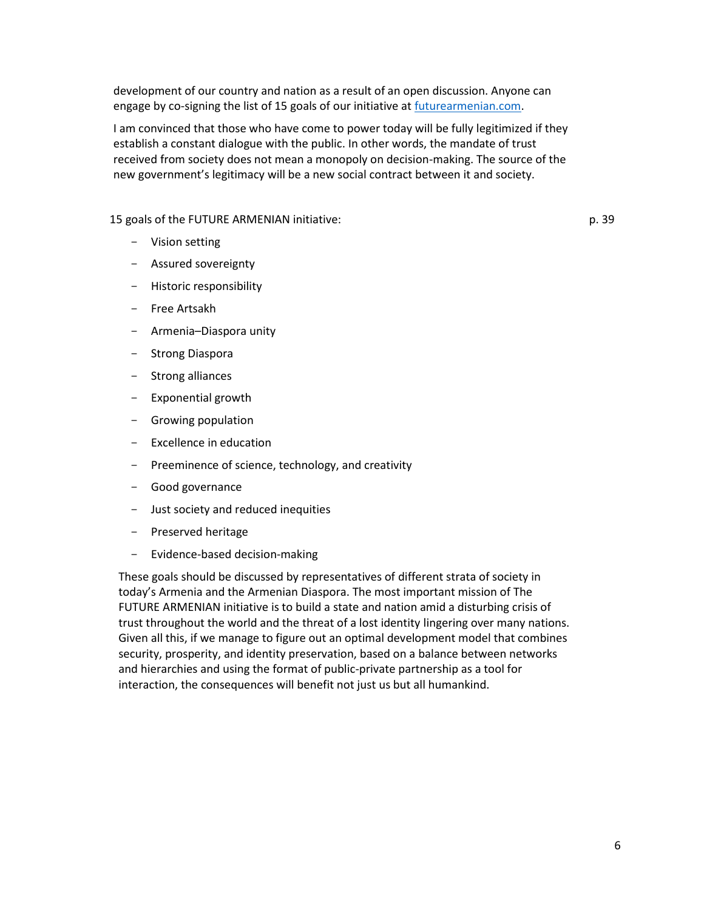development of our country and nation as a result of an open discussion. Anyone can engage by co-signing the list of 15 goals of our initiative a[t futurearmenian.com.](https://futurearmenian.com/)

I am convinced that those who have come to power today will be fully legitimized if they establish a constant dialogue with the public. In other words, the mandate of trust received from society does not mean a monopoly on decision-making. The source of the new government's legitimacy will be a new social contract between it and society.

15 goals of the FUTURE ARMENIAN initiative:

p. 39

- Vision setting
- Assured sovereignty
- Historic responsibility
- Free Artsakh
- Armenia–Diaspora unity
- Strong Diaspora
- Strong alliances
- Exponential growth
- Growing population
- Excellence in education
- Preeminence of science, technology, and creativity
- Good governance
- Just society and reduced inequities
- Preserved heritage
- Evidence-based decision-making

These goals should be discussed by representatives of different strata of society in today's Armenia and the Armenian Diaspora. The most important mission of The FUTURE ARMENIAN initiative is to build a state and nation amid a disturbing crisis of trust throughout the world and the threat of a lost identity lingering over many nations. Given all this, if we manage to figure out an optimal development model that combines security, prosperity, and identity preservation, based on a balance between networks and hierarchies and using the format of public-private partnership as a tool for interaction, the consequences will benefit not just us but all humankind.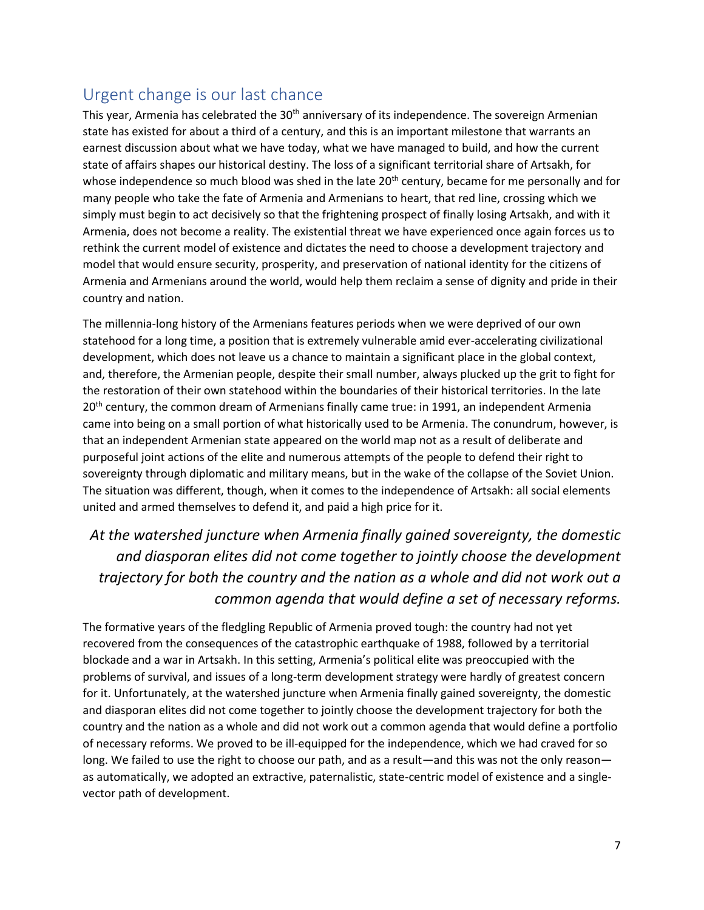## <span id="page-6-0"></span>Urgent change is our last chance

This year, Armenia has celebrated the  $30<sup>th</sup>$  anniversary of its independence. The sovereign Armenian state has existed for about a third of a century, and this is an important milestone that warrants an earnest discussion about what we have today, what we have managed to build, and how the current state of affairs shapes our historical destiny. The loss of a significant territorial share of Artsakh, for whose independence so much blood was shed in the late  $20<sup>th</sup>$  century, became for me personally and for many people who take the fate of Armenia and Armenians to heart, that red line, crossing which we simply must begin to act decisively so that the frightening prospect of finally losing Artsakh, and with it Armenia, does not become a reality. The existential threat we have experienced once again forces us to rethink the current model of existence and dictates the need to choose a development trajectory and model that would ensure security, prosperity, and preservation of national identity for the citizens of Armenia and Armenians around the world, would help them reclaim a sense of dignity and pride in their country and nation.

The millennia-long history of the Armenians features periods when we were deprived of our own statehood for a long time, a position that is extremely vulnerable amid ever-accelerating civilizational development, which does not leave us a chance to maintain a significant place in the global context, and, therefore, the Armenian people, despite their small number, always plucked up the grit to fight for the restoration of their own statehood within the boundaries of their historical territories. In the late 20<sup>th</sup> century, the common dream of Armenians finally came true: in 1991, an independent Armenia came into being on a small portion of what historically used to be Armenia. The conundrum, however, is that an independent Armenian state appeared on the world map not as a result of deliberate and purposeful joint actions of the elite and numerous attempts of the people to defend their right to sovereignty through diplomatic and military means, but in the wake of the collapse of the Soviet Union. The situation was different, though, when it comes to the independence of Artsakh: all social elements united and armed themselves to defend it, and paid a high price for it.

## *At the watershed juncture when Armenia finally gained sovereignty, the domestic and diasporan elites did not come together to jointly choose the development trajectory for both the country and the nation as a whole and did not work out a common agenda that would define a set of necessary reforms.*

The formative years of the fledgling Republic of Armenia proved tough: the country had not yet recovered from the consequences of the catastrophic earthquake of 1988, followed by a territorial blockade and a war in Artsakh. In this setting, Armenia's political elite was preoccupied with the problems of survival, and issues of a long-term development strategy were hardly of greatest concern for it. Unfortunately, at the watershed juncture when Armenia finally gained sovereignty, the domestic and diasporan elites did not come together to jointly choose the development trajectory for both the country and the nation as a whole and did not work out a common agenda that would define a portfolio of necessary reforms. We proved to be ill-equipped for the independence, which we had craved for so long. We failed to use the right to choose our path, and as a result—and this was not the only reason as automatically, we adopted an extractive, paternalistic, state-centric model of existence and a singlevector path of development.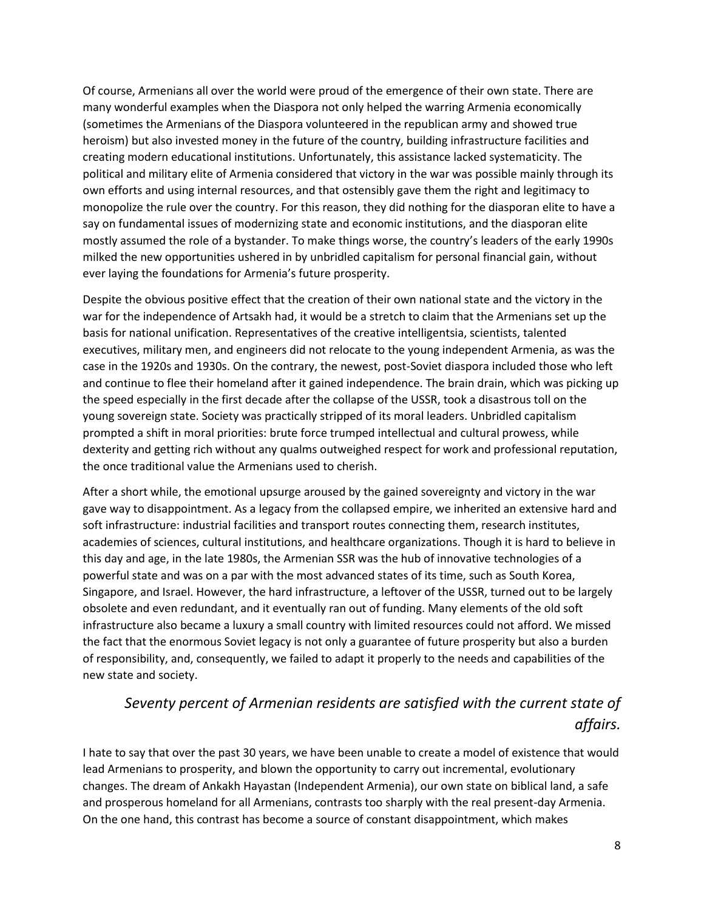Of course, Armenians all over the world were proud of the emergence of their own state. There are many wonderful examples when the Diaspora not only helped the warring Armenia economically (sometimes the Armenians of the Diaspora volunteered in the republican army and showed true heroism) but also invested money in the future of the country, building infrastructure facilities and creating modern educational institutions. Unfortunately, this assistance lacked systematicity. The political and military elite of Armenia considered that victory in the war was possible mainly through its own efforts and using internal resources, and that ostensibly gave them the right and legitimacy to monopolize the rule over the country. For this reason, they did nothing for the diasporan elite to have a say on fundamental issues of modernizing state and economic institutions, and the diasporan elite mostly assumed the role of a bystander. To make things worse, the country's leaders of the early 1990s milked the new opportunities ushered in by unbridled capitalism for personal financial gain, without ever laying the foundations for Armenia's future prosperity.

Despite the obvious positive effect that the creation of their own national state and the victory in the war for the independence of Artsakh had, it would be a stretch to claim that the Armenians set up the basis for national unification. Representatives of the creative intelligentsia, scientists, talented executives, military men, and engineers did not relocate to the young independent Armenia, as was the case in the 1920s and 1930s. On the contrary, the newest, post-Soviet diaspora included those who left and continue to flee their homeland after it gained independence. The brain drain, which was picking up the speed especially in the first decade after the collapse of the USSR, took a disastrous toll on the young sovereign state. Society was practically stripped of its moral leaders. Unbridled capitalism prompted a shift in moral priorities: brute force trumped intellectual and cultural prowess, while dexterity and getting rich without any qualms outweighed respect for work and professional reputation, the once traditional value the Armenians used to cherish.

After a short while, the emotional upsurge aroused by the gained sovereignty and victory in the war gave way to disappointment. As a legacy from the collapsed empire, we inherited an extensive hard and soft infrastructure: industrial facilities and transport routes connecting them, research institutes, academies of sciences, cultural institutions, and healthcare organizations. Though it is hard to believe in this day and age, in the late 1980s, the Armenian SSR was the hub of innovative technologies of a powerful state and was on a par with the most advanced states of its time, such as South Korea, Singapore, and Israel. However, the hard infrastructure, a leftover of the USSR, turned out to be largely obsolete and even redundant, and it eventually ran out of funding. Many elements of the old soft infrastructure also became a luxury a small country with limited resources could not afford. We missed the fact that the enormous Soviet legacy is not only a guarantee of future prosperity but also a burden of responsibility, and, consequently, we failed to adapt it properly to the needs and capabilities of the new state and society.

# *Seventy percent of Armenian residents are satisfied with the current state of affairs.*

I hate to say that over the past 30 years, we have been unable to create a model of existence that would lead Armenians to prosperity, and blown the opportunity to carry out incremental, evolutionary changes. The dream of Ankakh Hayastan (Independent Armenia), our own state on biblical land, a safe and prosperous homeland for all Armenians, contrasts too sharply with the real present-day Armenia. On the one hand, this contrast has become a source of constant disappointment, which makes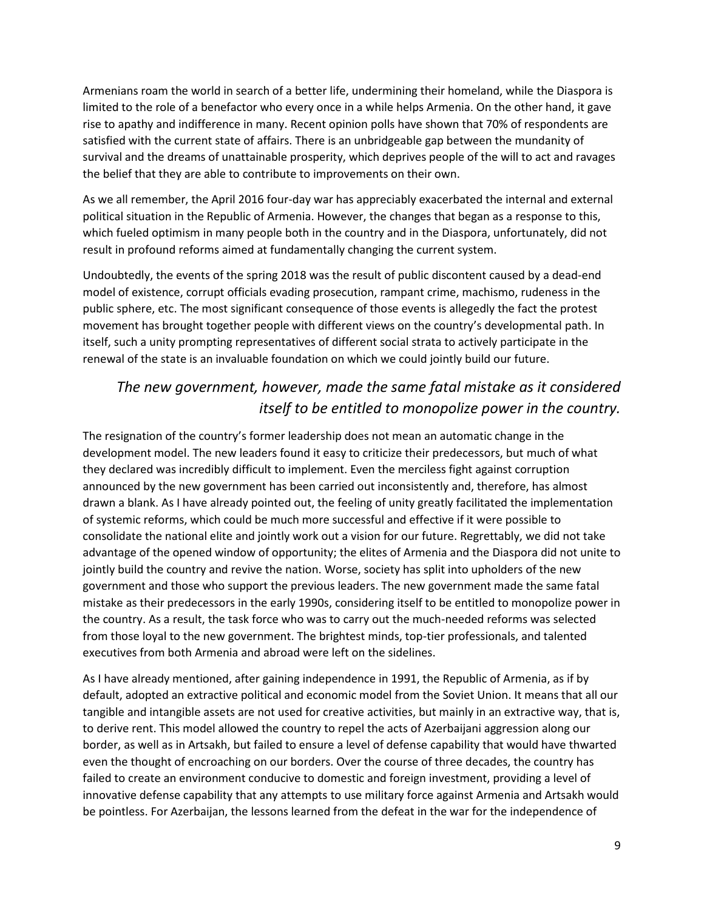Armenians roam the world in search of a better life, undermining their homeland, while the Diaspora is limited to the role of a benefactor who every once in a while helps Armenia. On the other hand, it gave rise to apathy and indifference in many. Recent opinion polls have shown that 70% of respondents are satisfied with the current state of affairs. There is an unbridgeable gap between the mundanity of survival and the dreams of unattainable prosperity, which deprives people of the will to act and ravages the belief that they are able to contribute to improvements on their own.

As we all remember, the April 2016 four-day war has appreciably exacerbated the internal and external political situation in the Republic of Armenia. However, the changes that began as a response to this, which fueled optimism in many people both in the country and in the Diaspora, unfortunately, did not result in profound reforms aimed at fundamentally changing the current system.

Undoubtedly, the events of the spring 2018 was the result of public discontent caused by a dead-end model of existence, corrupt officials evading prosecution, rampant crime, machismo, rudeness in the public sphere, etc. The most significant consequence of those events is allegedly the fact the protest movement has brought together people with different views on the country's developmental path. In itself, such a unity prompting representatives of different social strata to actively participate in the renewal of the state is an invaluable foundation on which we could jointly build our future.

## *The new government, however, made the same fatal mistake as it considered itself to be entitled to monopolize power in the country.*

The resignation of the country's former leadership does not mean an automatic change in the development model. The new leaders found it easy to criticize their predecessors, but much of what they declared was incredibly difficult to implement. Even the merciless fight against corruption announced by the new government has been carried out inconsistently and, therefore, has almost drawn a blank. As I have already pointed out, the feeling of unity greatly facilitated the implementation of systemic reforms, which could be much more successful and effective if it were possible to consolidate the national elite and jointly work out a vision for our future. Regrettably, we did not take advantage of the opened window of opportunity; the elites of Armenia and the Diaspora did not unite to jointly build the country and revive the nation. Worse, society has split into upholders of the new government and those who support the previous leaders. The new government made the same fatal mistake as their predecessors in the early 1990s, considering itself to be entitled to monopolize power in the country. As a result, the task force who was to carry out the much-needed reforms was selected from those loyal to the new government. The brightest minds, top-tier professionals, and talented executives from both Armenia and abroad were left on the sidelines.

As I have already mentioned, after gaining independence in 1991, the Republic of Armenia, as if by default, adopted an extractive political and economic model from the Soviet Union. It means that all our tangible and intangible assets are not used for creative activities, but mainly in an extractive way, that is, to derive rent. This model allowed the country to repel the acts of Azerbaijani aggression along our border, as well as in Artsakh, but failed to ensure a level of defense capability that would have thwarted even the thought of encroaching on our borders. Over the course of three decades, the country has failed to create an environment conducive to domestic and foreign investment, providing a level of innovative defense capability that any attempts to use military force against Armenia and Artsakh would be pointless. For Azerbaijan, the lessons learned from the defeat in the war for the independence of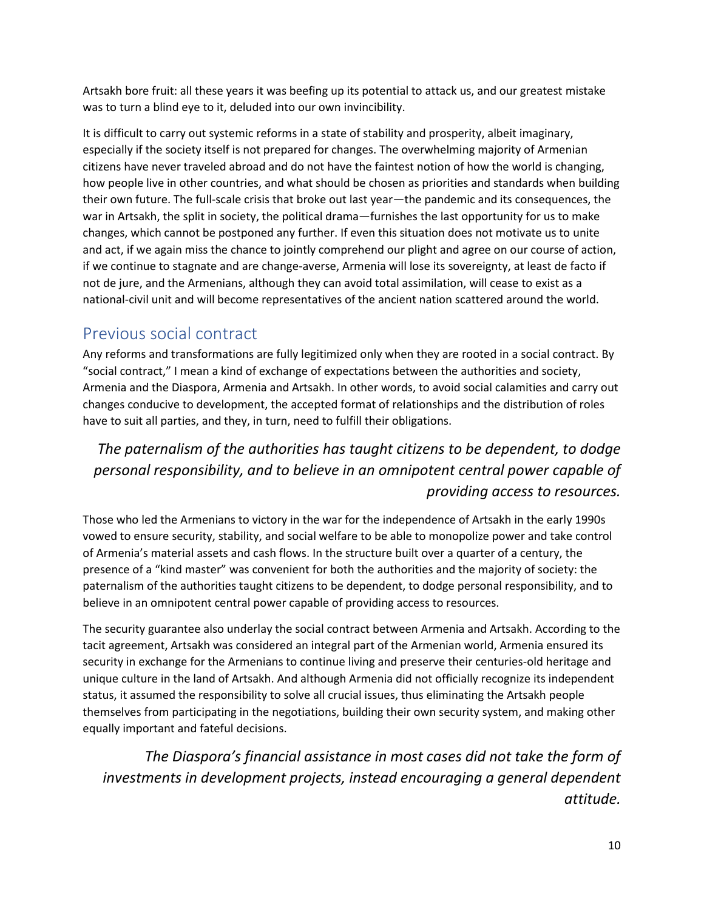Artsakh bore fruit: all these years it was beefing up its potential to attack us, and our greatest mistake was to turn a blind eye to it, deluded into our own invincibility.

It is difficult to carry out systemic reforms in a state of stability and prosperity, albeit imaginary, especially if the society itself is not prepared for changes. The overwhelming majority of Armenian citizens have never traveled abroad and do not have the faintest notion of how the world is changing, how people live in other countries, and what should be chosen as priorities and standards when building their own future. The full-scale crisis that broke out last year—the pandemic and its consequences, the war in Artsakh, the split in society, the political drama—furnishes the last opportunity for us to make changes, which cannot be postponed any further. If even this situation does not motivate us to unite and act, if we again miss the chance to jointly comprehend our plight and agree on our course of action, if we continue to stagnate and are change-averse, Armenia will lose its sovereignty, at least de facto if not de jure, and the Armenians, although they can avoid total assimilation, will cease to exist as a national-civil unit and will become representatives of the ancient nation scattered around the world.

## <span id="page-9-0"></span>Previous social contract

Any reforms and transformations are fully legitimized only when they are rooted in a social contract. By "social contract," I mean a kind of exchange of expectations between the authorities and society, Armenia and the Diaspora, Armenia and Artsakh. In other words, to avoid social calamities and carry out changes conducive to development, the accepted format of relationships and the distribution of roles have to suit all parties, and they, in turn, need to fulfill their obligations.

## *The paternalism of the authorities has taught citizens to be dependent, to dodge personal responsibility, and to believe in an omnipotent central power capable of providing access to resources.*

Those who led the Armenians to victory in the war for the independence of Artsakh in the early 1990s vowed to ensure security, stability, and social welfare to be able to monopolize power and take control of Armenia's material assets and cash flows. In the structure built over a quarter of a century, the presence of a "kind master" was convenient for both the authorities and the majority of society: the paternalism of the authorities taught citizens to be dependent, to dodge personal responsibility, and to believe in an omnipotent central power capable of providing access to resources.

The security guarantee also underlay the social contract between Armenia and Artsakh. According to the tacit agreement, Artsakh was considered an integral part of the Armenian world, Armenia ensured its security in exchange for the Armenians to continue living and preserve their centuries-old heritage and unique culture in the land of Artsakh. And although Armenia did not officially recognize its independent status, it assumed the responsibility to solve all crucial issues, thus eliminating the Artsakh people themselves from participating in the negotiations, building their own security system, and making other equally important and fateful decisions.

*The Diaspora's financial assistance in most cases did not take the form of investments in development projects, instead encouraging a general dependent attitude.*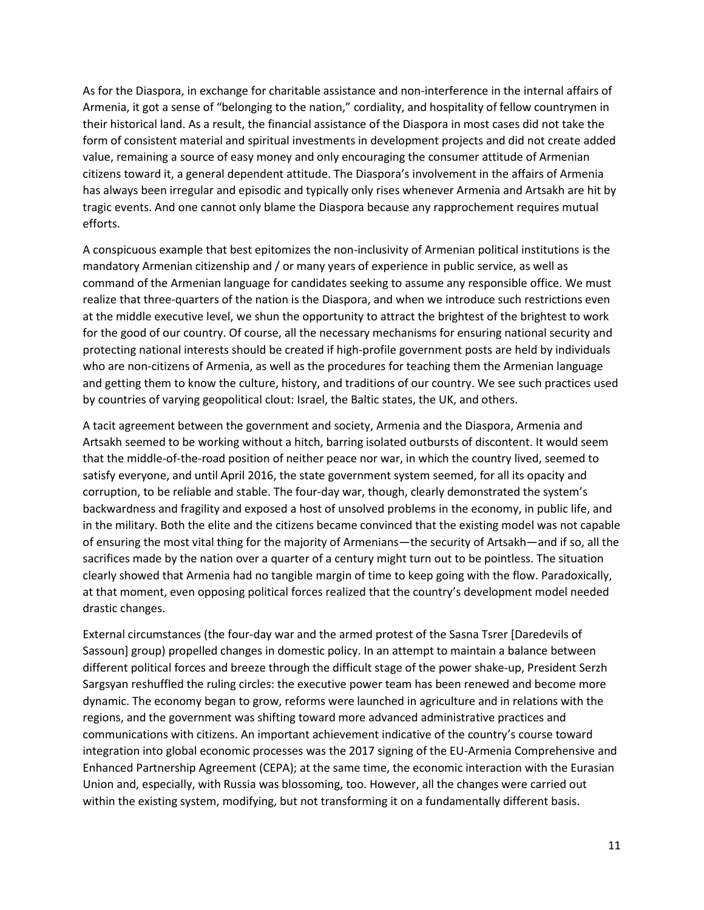As for the Diaspora, in exchange for charitable assistance and non-interference in the internal affairs of Armenia, it got a sense of "belonging to the nation," cordiality, and hospitality of fellow countrymen in their historical land. As a result, the financial assistance of the Diaspora in most cases did not take the form of consistent material and spiritual investments in development projects and did not create added value, remaining a source of easy money and only encouraging the consumer attitude of Armenian citizens toward it, a general dependent attitude. The Diaspora's involvement in the affairs of Armenia has always been irregular and episodic and typically only rises whenever Armenia and Artsakh are hit by tragic events. And one cannot only blame the Diaspora because any rapprochement requires mutual efforts.

A conspicuous example that best epitomizes the non-inclusivity of Armenian political institutions is the mandatory Armenian citizenship and / or many years of experience in public service, as well as command of the Armenian language for candidates seeking to assume any responsible office. We must realize that three-quarters of the nation is the Diaspora, and when we introduce such restrictions even at the middle executive level, we shun the opportunity to attract the brightest of the brightest to work for the good of our country. Of course, all the necessary mechanisms for ensuring national security and protecting national interests should be created if high-profile government posts are held by individuals who are non-citizens of Armenia, as well as the procedures for teaching them the Armenian language and getting them to know the culture, history, and traditions of our country. We see such practices used by countries of varying geopolitical clout: Israel, the Baltic states, the UK, and others.

A tacit agreement between the government and society, Armenia and the Diaspora, Armenia and Artsakh seemed to be working without a hitch, barring isolated outbursts of discontent. It would seem that the middle-of-the-road position of neither peace nor war, in which the country lived, seemed to satisfy everyone, and until April 2016, the state government system seemed, for all its opacity and corruption, to be reliable and stable. The four-day war, though, clearly demonstrated the system's backwardness and fragility and exposed a host of unsolved problems in the economy, in public life, and in the military. Both the elite and the citizens became convinced that the existing model was not capable of ensuring the most vital thing for the majority of Armenians—the security of Artsakh—and if so, all the sacrifices made by the nation over a quarter of a century might turn out to be pointless. The situation clearly showed that Armenia had no tangible margin of time to keep going with the flow. Paradoxically, at that moment, even opposing political forces realized that the country's development model needed drastic changes.

External circumstances (the four-day war and the armed protest of the Sasna Tsrer [Daredevils of Sassoun] group) propelled changes in domestic policy. In an attempt to maintain a balance between different political forces and breeze through the difficult stage of the power shake-up, President Serzh Sargsyan reshuffled the ruling circles: the executive power team has been renewed and become more dynamic. The economy began to grow, reforms were launched in agriculture and in relations with the regions, and the government was shifting toward more advanced administrative practices and communications with citizens. An important achievement indicative of the country's course toward integration into global economic processes was the 2017 signing of the EU-Armenia Comprehensive and Enhanced Partnership Agreement (CEPA); at the same time, the economic interaction with the Eurasian Union and, especially, with Russia was blossoming, too. However, all the changes were carried out within the existing system, modifying, but not transforming it on a fundamentally different basis.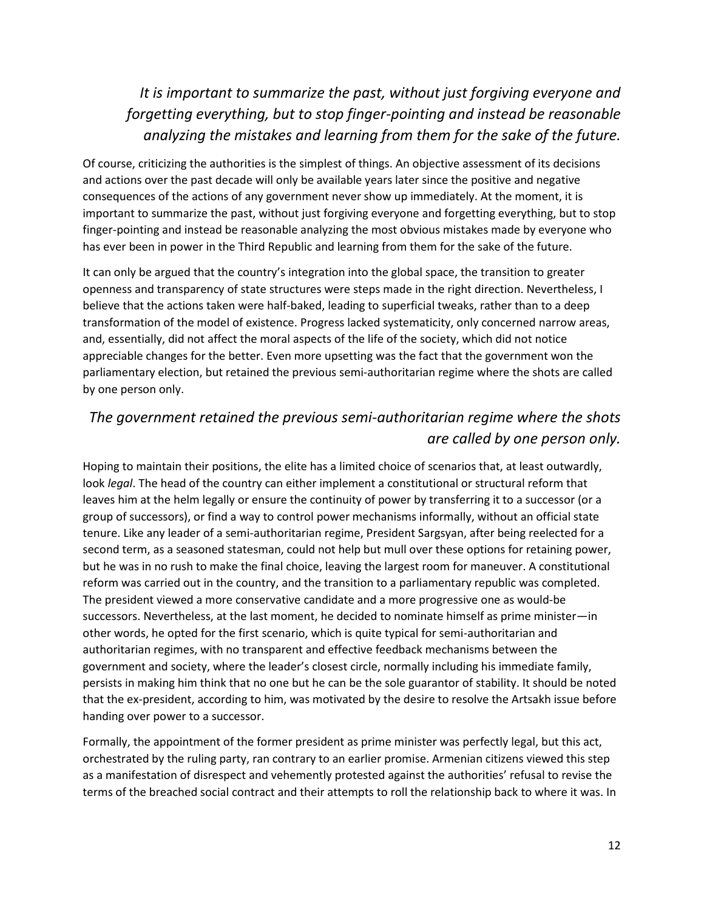# *It is important to summarize the past, without just forgiving everyone and forgetting everything, but to stop finger-pointing and instead be reasonable analyzing the mistakes and learning from them for the sake of the future.*

Of course, criticizing the authorities is the simplest of things. An objective assessment of its decisions and actions over the past decade will only be available years later since the positive and negative consequences of the actions of any government never show up immediately. At the moment, it is important to summarize the past, without just forgiving everyone and forgetting everything, but to stop finger-pointing and instead be reasonable analyzing the most obvious mistakes made by everyone who has ever been in power in the Third Republic and learning from them for the sake of the future.

It can only be argued that the country's integration into the global space, the transition to greater openness and transparency of state structures were steps made in the right direction. Nevertheless, I believe that the actions taken were half-baked, leading to superficial tweaks, rather than to a deep transformation of the model of existence. Progress lacked systematicity, only concerned narrow areas, and, essentially, did not affect the moral aspects of the life of the society, which did not notice appreciable changes for the better. Even more upsetting was the fact that the government won the parliamentary election, but retained the previous semi-authoritarian regime where the shots are called by one person only.

### *The government retained the previous semi-authoritarian regime where the shots are called by one person only.*

Hoping to maintain their positions, the elite has a limited choice of scenarios that, at least outwardly, look *legal*. The head of the country can either implement a constitutional or structural reform that leaves him at the helm legally or ensure the continuity of power by transferring it to a successor (or a group of successors), or find a way to control power mechanisms informally, without an official state tenure. Like any leader of a semi-authoritarian regime, President Sargsyan, after being reelected for a second term, as a seasoned statesman, could not help but mull over these options for retaining power, but he was in no rush to make the final choice, leaving the largest room for maneuver. A constitutional reform was carried out in the country, and the transition to a parliamentary republic was completed. The president viewed a more conservative candidate and a more progressive one as would-be successors. Nevertheless, at the last moment, he decided to nominate himself as prime minister—in other words, he opted for the first scenario, which is quite typical for semi-authoritarian and authoritarian regimes, with no transparent and effective feedback mechanisms between the government and society, where the leader's closest circle, normally including his immediate family, persists in making him think that no one but he can be the sole guarantor of stability. It should be noted that the ex-president, according to him, was motivated by the desire to resolve the Artsakh issue before handing over power to a successor.

Formally, the appointment of the former president as prime minister was perfectly legal, but this act, orchestrated by the ruling party, ran contrary to an earlier promise. Armenian citizens viewed this step as a manifestation of disrespect and vehemently protested against the authorities' refusal to revise the terms of the breached social contract and their attempts to roll the relationship back to where it was. In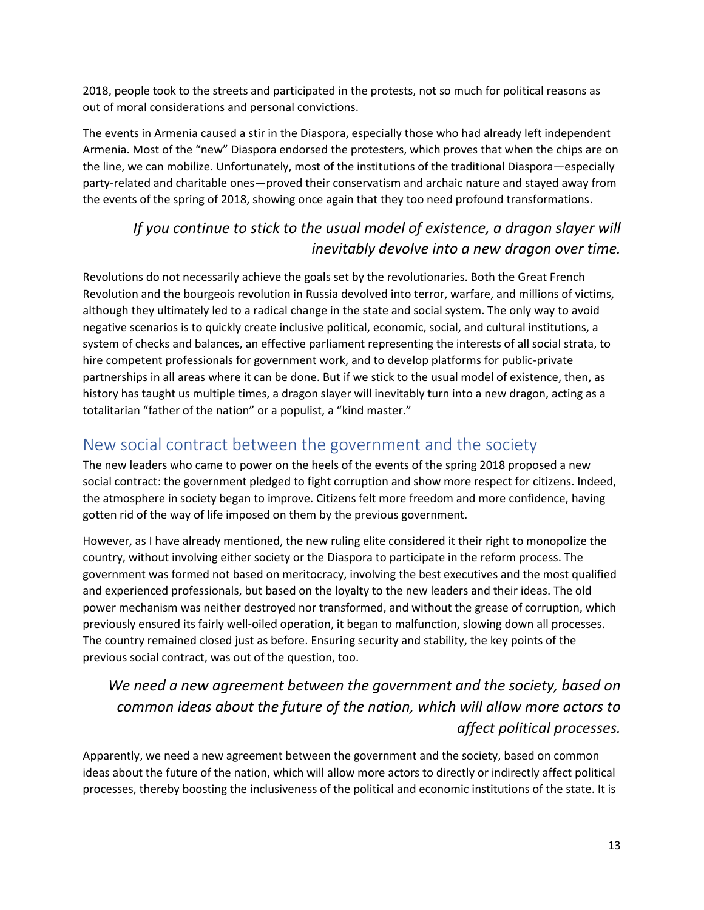2018, people took to the streets and participated in the protests, not so much for political reasons as out of moral considerations and personal convictions.

The events in Armenia caused a stir in the Diaspora, especially those who had already left independent Armenia. Most of the "new" Diaspora endorsed the protesters, which proves that when the chips are on the line, we can mobilize. Unfortunately, most of the institutions of the traditional Diaspora—especially party-related and charitable ones—proved their conservatism and archaic nature and stayed away from the events of the spring of 2018, showing once again that they too need profound transformations.

## *If you continue to stick to the usual model of existence, a dragon slayer will inevitably devolve into a new dragon over time.*

Revolutions do not necessarily achieve the goals set by the revolutionaries. Both the Great French Revolution and the bourgeois revolution in Russia devolved into terror, warfare, and millions of victims, although they ultimately led to a radical change in the state and social system. The only way to avoid negative scenarios is to quickly create inclusive political, economic, social, and cultural institutions, a system of checks and balances, an effective parliament representing the interests of all social strata, to hire competent professionals for government work, and to develop platforms for public-private partnerships in all areas where it can be done. But if we stick to the usual model of existence, then, as history has taught us multiple times, a dragon slayer will inevitably turn into a new dragon, acting as a totalitarian "father of the nation" or a populist, a "kind master."

# <span id="page-12-0"></span>New social contract between the government and the society

The new leaders who came to power on the heels of the events of the spring 2018 proposed a new social contract: the government pledged to fight corruption and show more respect for citizens. Indeed, the atmosphere in society began to improve. Citizens felt more freedom and more confidence, having gotten rid of the way of life imposed on them by the previous government.

However, as I have already mentioned, the new ruling elite considered it their right to monopolize the country, without involving either society or the Diaspora to participate in the reform process. The government was formed not based on meritocracy, involving the best executives and the most qualified and experienced professionals, but based on the loyalty to the new leaders and their ideas. The old power mechanism was neither destroyed nor transformed, and without the grease of corruption, which previously ensured its fairly well-oiled operation, it began to malfunction, slowing down all processes. The country remained closed just as before. Ensuring security and stability, the key points of the previous social contract, was out of the question, too.

## *We need a new agreement between the government and the society, based on common ideas about the future of the nation, which will allow more actors to affect political processes.*

Apparently, we need a new agreement between the government and the society, based on common ideas about the future of the nation, which will allow more actors to directly or indirectly affect political processes, thereby boosting the inclusiveness of the political and economic institutions of the state. It is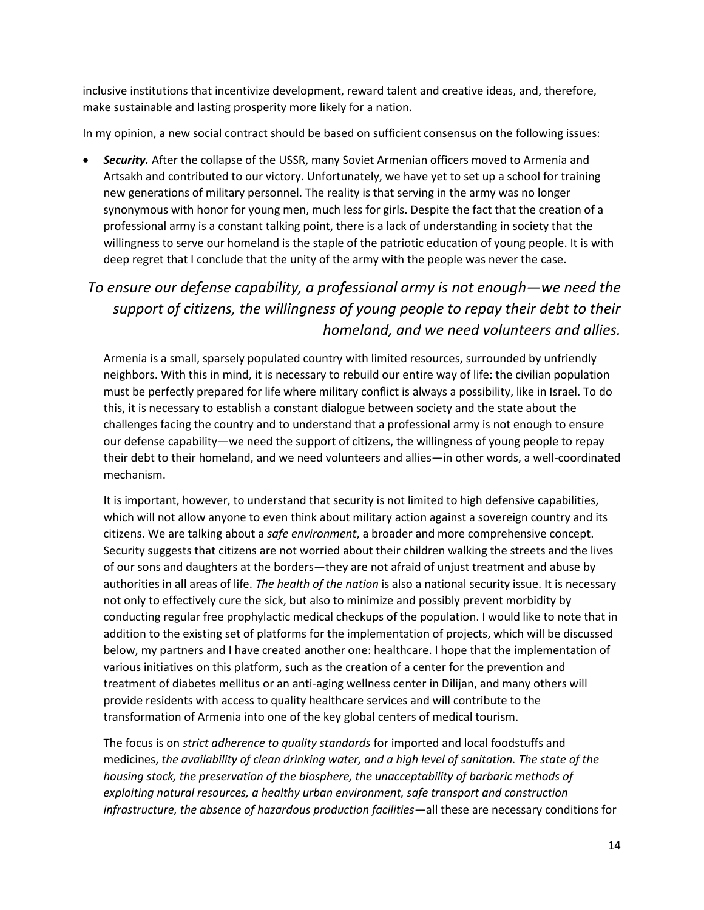inclusive institutions that incentivize development, reward talent and creative ideas, and, therefore, make sustainable and lasting prosperity more likely for a nation.

In my opinion, a new social contract should be based on sufficient consensus on the following issues:

• *Security.* After the collapse of the USSR, many Soviet Armenian officers moved to Armenia and Artsakh and contributed to our victory. Unfortunately, we have yet to set up a school for training new generations of military personnel. The reality is that serving in the army was no longer synonymous with honor for young men, much less for girls. Despite the fact that the creation of a professional army is a constant talking point, there is a lack of understanding in society that the willingness to serve our homeland is the staple of the patriotic education of young people. It is with deep regret that I conclude that the unity of the army with the people was never the case.

## *To ensure our defense capability, a professional army is not enough—we need the support of citizens, the willingness of young people to repay their debt to their homeland, and we need volunteers and allies.*

Armenia is a small, sparsely populated country with limited resources, surrounded by unfriendly neighbors. With this in mind, it is necessary to rebuild our entire way of life: the civilian population must be perfectly prepared for life where military conflict is always a possibility, like in Israel. To do this, it is necessary to establish a constant dialogue between society and the state about the challenges facing the country and to understand that a professional army is not enough to ensure our defense capability—we need the support of citizens, the willingness of young people to repay their debt to their homeland, and we need volunteers and allies—in other words, a well-coordinated mechanism.

It is important, however, to understand that security is not limited to high defensive capabilities, which will not allow anyone to even think about military action against a sovereign country and its citizens. We are talking about a *safe environment*, a broader and more comprehensive concept. Security suggests that citizens are not worried about their children walking the streets and the lives of our sons and daughters at the borders—they are not afraid of unjust treatment and abuse by authorities in all areas of life. *The health of the nation* is also a national security issue. It is necessary not only to effectively cure the sick, but also to minimize and possibly prevent morbidity by conducting regular free prophylactic medical checkups of the population. I would like to note that in addition to the existing set of platforms for the implementation of projects, which will be discussed below, my partners and I have created another one: healthcare. I hope that the implementation of various initiatives on this platform, such as the creation of a center for the prevention and treatment of diabetes mellitus or an anti-aging wellness center in Dilijan, and many others will provide residents with access to quality healthcare services and will contribute to the transformation of Armenia into one of the key global centers of medical tourism.

The focus is on *strict adherence to quality standards* for imported and local foodstuffs and medicines, *the availability of clean drinking water, and a high level of sanitation. The state of the housing stock, the preservation of the biosphere, the unacceptability of barbaric methods of exploiting natural resources, a healthy urban environment, safe transport and construction infrastructure, the absence of hazardous production facilities*—all these are necessary conditions for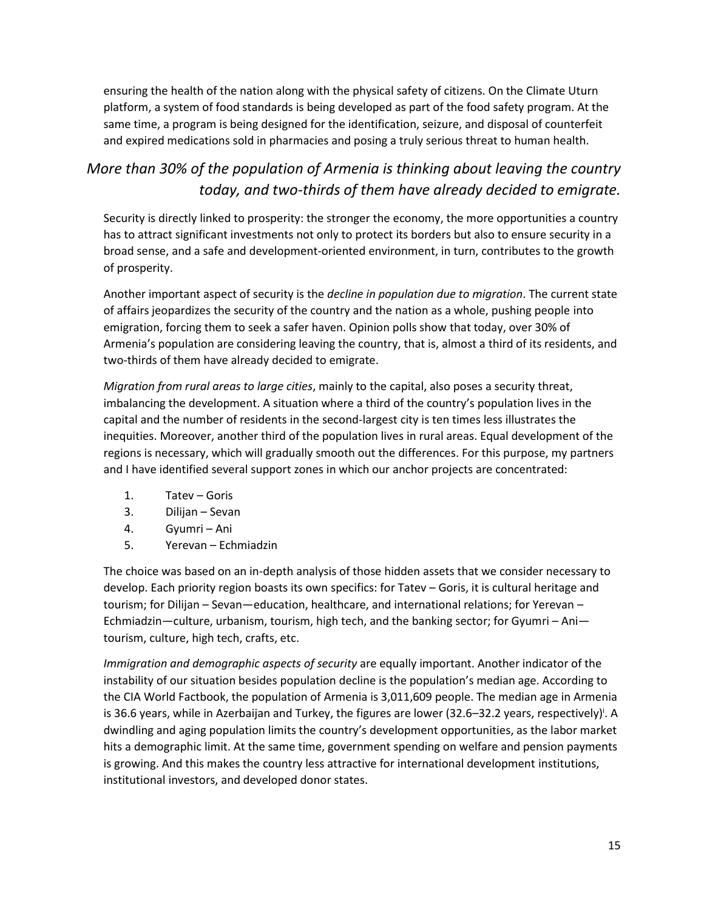ensuring the health of the nation along with the physical safety of citizens. On the Climate Uturn platform, a system of food standards is being developed as part of the food safety program. At the same time, a program is being designed for the identification, seizure, and disposal of counterfeit and expired medications sold in pharmacies and posing a truly serious threat to human health.

#### *More than 30% of the population of Armenia is thinking about leaving the country today, and two-thirds of them have already decided to emigrate.*

Security is directly linked to prosperity: the stronger the economy, the more opportunities a country has to attract significant investments not only to protect its borders but also to ensure security in a broad sense, and a safe and development-oriented environment, in turn, contributes to the growth of prosperity.

Another important aspect of security is the *decline in population due to migration*. The current state of affairs jeopardizes the security of the country and the nation as a whole, pushing people into emigration, forcing them to seek a safer haven. Opinion polls show that today, over 30% of Armenia's population are considering leaving the country, that is, almost a third of its residents, and two-thirds of them have already decided to emigrate.

*Migration from rural areas to large cities*, mainly to the capital, also poses a security threat, imbalancing the development. A situation where a third of the country's population lives in the capital and the number of residents in the second-largest city is ten times less illustrates the inequities. Moreover, another third of the population lives in rural areas. Equal development of the regions is necessary, which will gradually smooth out the differences. For this purpose, my partners and I have identified several support zones in which our anchor projects are concentrated:

- 1. Tatev Goris
- 3. Dilijan Sevan
- 4. Gyumri Ani
- 5. Yerevan Echmiadzin

The choice was based on an in-depth analysis of those hidden assets that we consider necessary to develop. Each priority region boasts its own specifics: for Tatev – Goris, it is cultural heritage and tourism; for Dilijan – Sevan—education, healthcare, and international relations; for Yerevan – Echmiadzin—culture, urbanism, tourism, high tech, and the banking sector; for Gyumri – Ani tourism, culture, high tech, crafts, etc.

*Immigration and demographic aspects of security* are equally important. Another indicator of the instability of our situation besides population decline is the population's median age. According to the CIA World Factbook, the population of Armenia is 3,011,609 people. The median age in Armenia is 36.6 years, while in Azerbaijan and Turkey, the figures are lower (32.6–32.2 years, respectively)<sup>†</sup>. A dwindling and aging population limits the country's development opportunities, as the labor market hits a demographic limit. At the same time, government spending on welfare and pension payments is growing. And this makes the country less attractive for international development institutions, institutional investors, and developed donor states.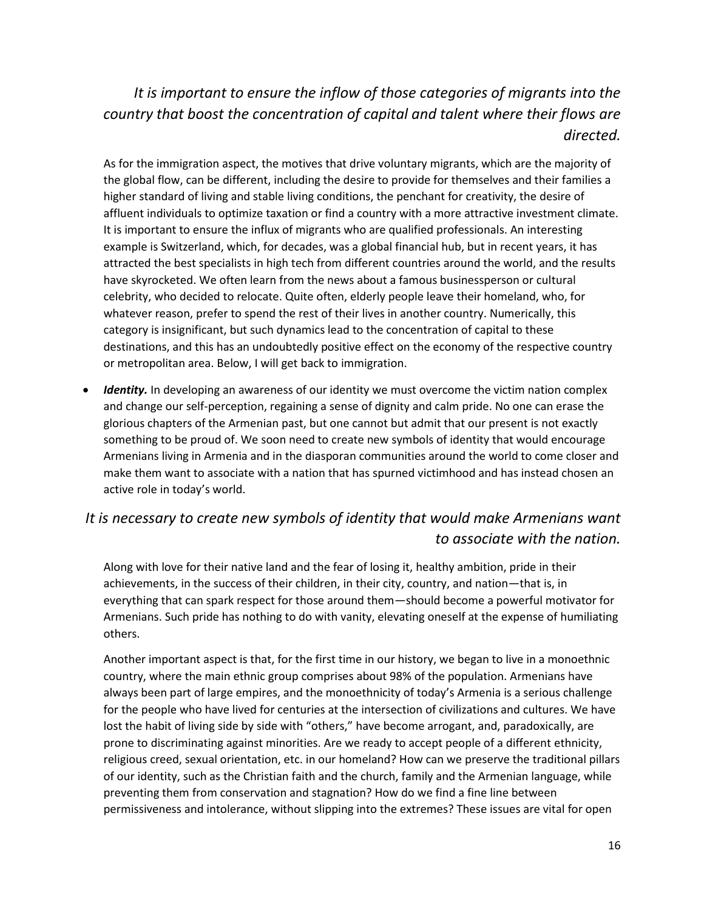# *It is important to ensure the inflow of those categories of migrants into the country that boost the concentration of capital and talent where their flows are directed.*

As for the immigration aspect, the motives that drive voluntary migrants, which are the majority of the global flow, can be different, including the desire to provide for themselves and their families a higher standard of living and stable living conditions, the penchant for creativity, the desire of affluent individuals to optimize taxation or find a country with a more attractive investment climate. It is important to ensure the influx of migrants who are qualified professionals. An interesting example is Switzerland, which, for decades, was a global financial hub, but in recent years, it has attracted the best specialists in high tech from different countries around the world, and the results have skyrocketed. We often learn from the news about a famous businessperson or cultural celebrity, who decided to relocate. Quite often, elderly people leave their homeland, who, for whatever reason, prefer to spend the rest of their lives in another country. Numerically, this category is insignificant, but such dynamics lead to the concentration of capital to these destinations, and this has an undoubtedly positive effect on the economy of the respective country or metropolitan area. Below, I will get back to immigration.

• *Identity.* In developing an awareness of our identity we must overcome the victim nation complex and change our self-perception, regaining a sense of dignity and calm pride. No one can erase the glorious chapters of the Armenian past, but one cannot but admit that our present is not exactly something to be proud of. We soon need to create new symbols of identity that would encourage Armenians living in Armenia and in the diasporan communities around the world to come closer and make them want to associate with a nation that has spurned victimhood and has instead chosen an active role in today's world.

### *It is necessary to create new symbols of identity that would make Armenians want to associate with the nation.*

Along with love for their native land and the fear of losing it, healthy ambition, pride in their achievements, in the success of their children, in their city, country, and nation—that is, in everything that can spark respect for those around them—should become a powerful motivator for Armenians. Such pride has nothing to do with vanity, elevating oneself at the expense of humiliating others.

Another important aspect is that, for the first time in our history, we began to live in a monoethnic country, where the main ethnic group comprises about 98% of the population. Armenians have always been part of large empires, and the monoethnicity of today's Armenia is a serious challenge for the people who have lived for centuries at the intersection of civilizations and cultures. We have lost the habit of living side by side with "others," have become arrogant, and, paradoxically, are prone to discriminating against minorities. Are we ready to accept people of a different ethnicity, religious creed, sexual orientation, etc. in our homeland? How can we preserve the traditional pillars of our identity, such as the Christian faith and the church, family and the Armenian language, while preventing them from conservation and stagnation? How do we find a fine line between permissiveness and intolerance, without slipping into the extremes? These issues are vital for open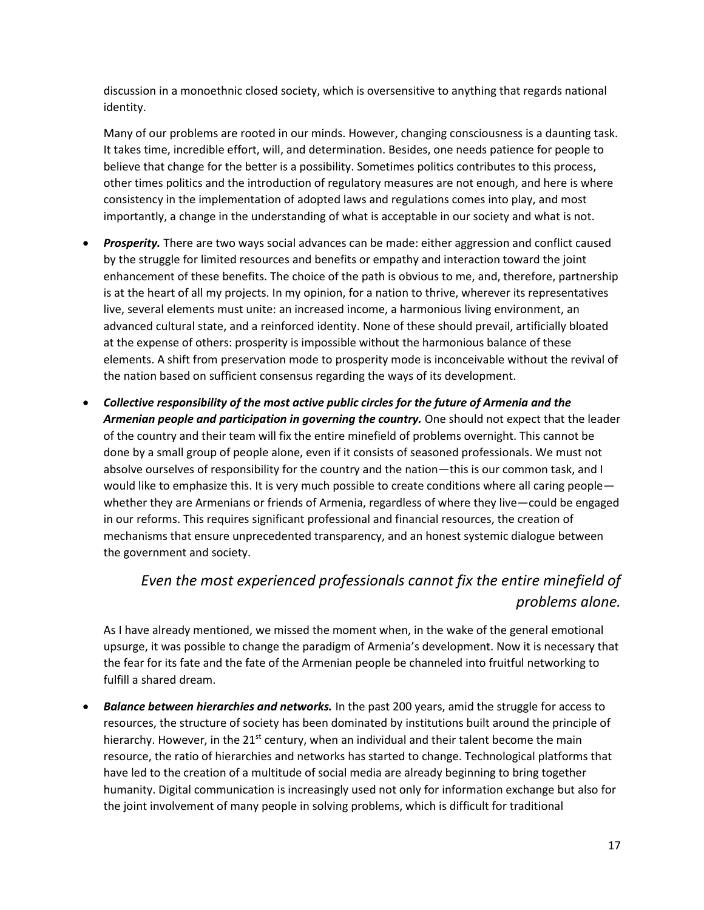discussion in a monoethnic closed society, which is oversensitive to anything that regards national identity.

Many of our problems are rooted in our minds. However, changing consciousness is a daunting task. It takes time, incredible effort, will, and determination. Besides, one needs patience for people to believe that change for the better is a possibility. Sometimes politics contributes to this process, other times politics and the introduction of regulatory measures are not enough, and here is where consistency in the implementation of adopted laws and regulations comes into play, and most importantly, a change in the understanding of what is acceptable in our society and what is not.

- *Prosperity.* There are two ways social advances can be made: either aggression and conflict caused by the struggle for limited resources and benefits or empathy and interaction toward the joint enhancement of these benefits. The choice of the path is obvious to me, and, therefore, partnership is at the heart of all my projects. In my opinion, for a nation to thrive, wherever its representatives live, several elements must unite: an increased income, a harmonious living environment, an advanced cultural state, and a reinforced identity. None of these should prevail, artificially bloated at the expense of others: prosperity is impossible without the harmonious balance of these elements. A shift from preservation mode to prosperity mode is inconceivable without the revival of the nation based on sufficient consensus regarding the ways of its development.
- *Collective responsibility of the most active public circles for the future of Armenia and the Armenian people and participation in governing the country.* One should not expect that the leader of the country and their team will fix the entire minefield of problems overnight. This cannot be done by a small group of people alone, even if it consists of seasoned professionals. We must not absolve ourselves of responsibility for the country and the nation—this is our common task, and I would like to emphasize this. It is very much possible to create conditions where all caring people whether they are Armenians or friends of Armenia, regardless of where they live—could be engaged in our reforms. This requires significant professional and financial resources, the creation of mechanisms that ensure unprecedented transparency, and an honest systemic dialogue between the government and society.

## *Even the most experienced professionals cannot fix the entire minefield of problems alone.*

As I have already mentioned, we missed the moment when, in the wake of the general emotional upsurge, it was possible to change the paradigm of Armenia's development. Now it is necessary that the fear for its fate and the fate of the Armenian people be channeled into fruitful networking to fulfill a shared dream.

• *Balance between hierarchies and networks.* In the past 200 years, amid the struggle for access to resources, the structure of society has been dominated by institutions built around the principle of hierarchy. However, in the  $21^{st}$  century, when an individual and their talent become the main resource, the ratio of hierarchies and networks has started to change. Technological platforms that have led to the creation of a multitude of social media are already beginning to bring together humanity. Digital communication is increasingly used not only for information exchange but also for the joint involvement of many people in solving problems, which is difficult for traditional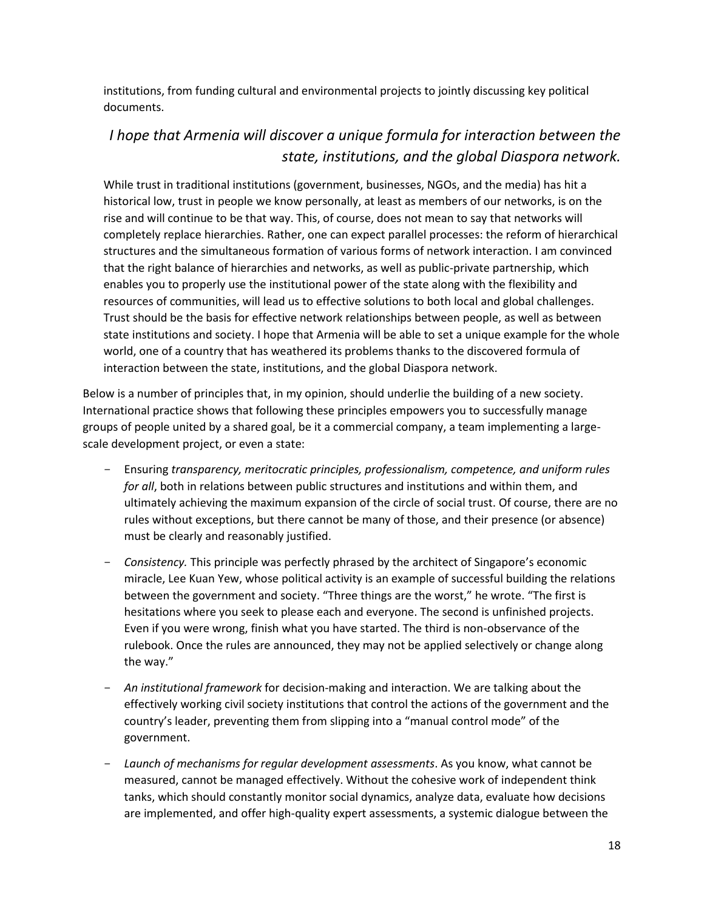institutions, from funding cultural and environmental projects to jointly discussing key political documents.

# *I hope that Armenia will discover a unique formula for interaction between the state, institutions, and the global Diaspora network.*

While trust in traditional institutions (government, businesses, NGOs, and the media) has hit a historical low, trust in people we know personally, at least as members of our networks, is on the rise and will continue to be that way. This, of course, does not mean to say that networks will completely replace hierarchies. Rather, one can expect parallel processes: the reform of hierarchical structures and the simultaneous formation of various forms of network interaction. I am convinced that the right balance of hierarchies and networks, as well as public-private partnership, which enables you to properly use the institutional power of the state along with the flexibility and resources of communities, will lead us to effective solutions to both local and global challenges. Trust should be the basis for effective network relationships between people, as well as between state institutions and society. I hope that Armenia will be able to set a unique example for the whole world, one of a country that has weathered its problems thanks to the discovered formula of interaction between the state, institutions, and the global Diaspora network.

Below is a number of principles that, in my opinion, should underlie the building of a new society. International practice shows that following these principles empowers you to successfully manage groups of people united by a shared goal, be it a commercial company, a team implementing a largescale development project, or even a state:

- Ensuring *transparency, meritocratic principles, professionalism, competence, and uniform rules for all*, both in relations between public structures and institutions and within them, and ultimately achieving the maximum expansion of the circle of social trust. Of course, there are no rules without exceptions, but there cannot be many of those, and their presence (or absence) must be clearly and reasonably justified.
- *Consistency.* This principle was perfectly phrased by the architect of Singapore's economic miracle, Lee Kuan Yew, whose political activity is an example of successful building the relations between the government and society. "Three things are the worst," he wrote. "The first is hesitations where you seek to please each and everyone. The second is unfinished projects. Even if you were wrong, finish what you have started. The third is non-observance of the rulebook. Once the rules are announced, they may not be applied selectively or change along the way."
- *An institutional framework* for decision-making and interaction. We are talking about the effectively working civil society institutions that control the actions of the government and the country's leader, preventing them from slipping into a "manual control mode" of the government.
- *Launch of mechanisms for regular development assessments*. As you know, what cannot be measured, cannot be managed effectively. Without the cohesive work of independent think tanks, which should constantly monitor social dynamics, analyze data, evaluate how decisions are implemented, and offer high-quality expert assessments, a systemic dialogue between the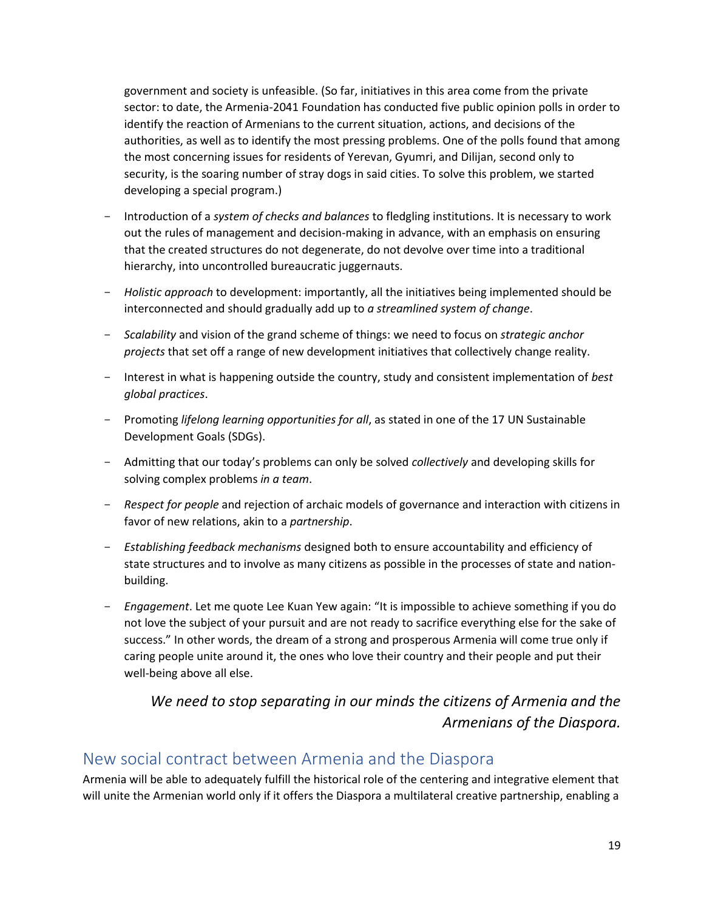government and society is unfeasible. (So far, initiatives in this area come from the private sector: to date, the Armenia-2041 Foundation has conducted five public opinion polls in order to identify the reaction of Armenians to the current situation, actions, and decisions of the authorities, as well as to identify the most pressing problems. One of the polls found that among the most concerning issues for residents of Yerevan, Gyumri, and Dilijan, second only to security, is the soaring number of stray dogs in said cities. To solve this problem, we started developing a special program.)

- Introduction of a *system of checks and balances* to fledgling institutions. It is necessary to work out the rules of management and decision-making in advance, with an emphasis on ensuring that the created structures do not degenerate, do not devolve over time into a traditional hierarchy, into uncontrolled bureaucratic juggernauts.
- *Holistic approach* to development: importantly, all the initiatives being implemented should be interconnected and should gradually add up to *a streamlined system of change*.
- *Scalability* and vision of the grand scheme of things: we need to focus on *strategic anchor projects* that set off a range of new development initiatives that collectively change reality.
- Interest in what is happening outside the country, study and consistent implementation of *best global practices*.
- Promoting *lifelong learning opportunities for all*, as stated in one of the 17 UN Sustainable Development Goals (SDGs).
- Admitting that our today's problems can only be solved *collectively* and developing skills for solving complex problems *in a team*.
- *Respect for people* and rejection of archaic models of governance and interaction with citizens in favor of new relations, akin to a *partnership*.
- *Establishing feedback mechanisms* designed both to ensure accountability and efficiency of state structures and to involve as many citizens as possible in the processes of state and nationbuilding.
- *Engagement*. Let me quote Lee Kuan Yew again: "It is impossible to achieve something if you do not love the subject of your pursuit and are not ready to sacrifice everything else for the sake of success." In other words, the dream of a strong and prosperous Armenia will come true only if caring people unite around it, the ones who love their country and their people and put their well-being above all else.

#### *We need to stop separating in our minds the citizens of Armenia and the Armenians of the Diaspora.*

#### <span id="page-18-0"></span>New social contract between Armenia and the Diaspora

Armenia will be able to adequately fulfill the historical role of the centering and integrative element that will unite the Armenian world only if it offers the Diaspora a multilateral creative partnership, enabling a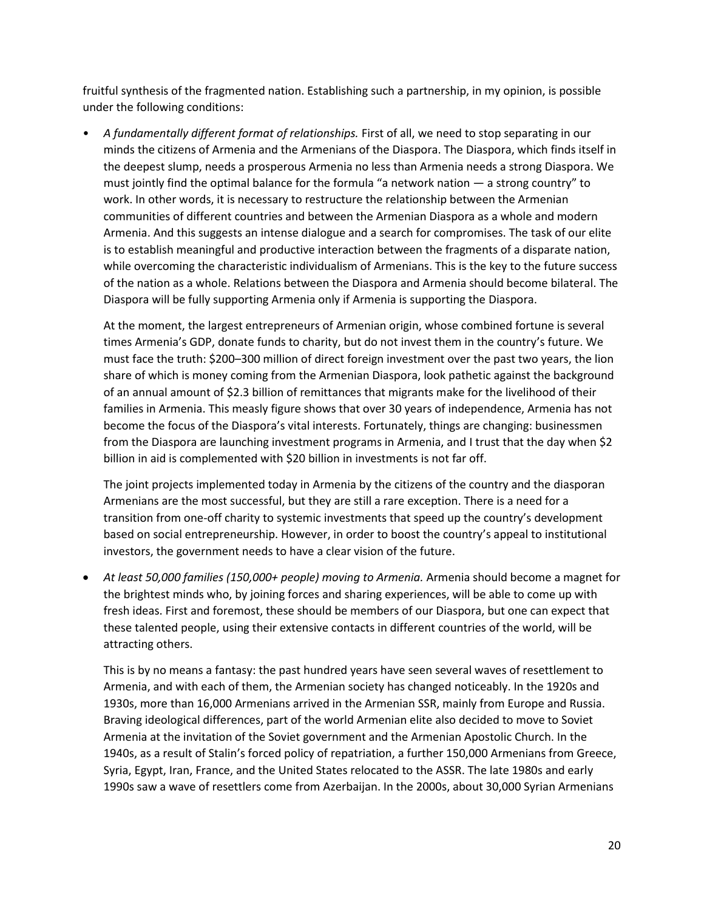fruitful synthesis of the fragmented nation. Establishing such a partnership, in my opinion, is possible under the following conditions:

• *A fundamentally different format of relationships.* First of all, we need to stop separating in our minds the citizens of Armenia and the Armenians of the Diaspora. The Diaspora, which finds itself in the deepest slump, needs a prosperous Armenia no less than Armenia needs a strong Diaspora. We must jointly find the optimal balance for the formula "a network nation — a strong country" to work. In other words, it is necessary to restructure the relationship between the Armenian communities of different countries and between the Armenian Diaspora as a whole and modern Armenia. And this suggests an intense dialogue and a search for compromises. The task of our elite is to establish meaningful and productive interaction between the fragments of a disparate nation, while overcoming the characteristic individualism of Armenians. This is the key to the future success of the nation as a whole. Relations between the Diaspora and Armenia should become bilateral. The Diaspora will be fully supporting Armenia only if Armenia is supporting the Diaspora.

At the moment, the largest entrepreneurs of Armenian origin, whose combined fortune is several times Armenia's GDP, donate funds to charity, but do not invest them in the country's future. We must face the truth: \$200–300 million of direct foreign investment over the past two years, the lion share of which is money coming from the Armenian Diaspora, look pathetic against the background of an annual amount of \$2.3 billion of remittances that migrants make for the livelihood of their families in Armenia. This measly figure shows that over 30 years of independence, Armenia has not become the focus of the Diaspora's vital interests. Fortunately, things are changing: businessmen from the Diaspora are launching investment programs in Armenia, and I trust that the day when \$2 billion in aid is complemented with \$20 billion in investments is not far off.

The joint projects implemented today in Armenia by the citizens of the country and the diasporan Armenians are the most successful, but they are still a rare exception. There is a need for a transition from one-off charity to systemic investments that speed up the country's development based on social entrepreneurship. However, in order to boost the country's appeal to institutional investors, the government needs to have a clear vision of the future.

• *At least 50,000 families (150,000+ people) moving to Armenia.* Armenia should become a magnet for the brightest minds who, by joining forces and sharing experiences, will be able to come up with fresh ideas. First and foremost, these should be members of our Diaspora, but one can expect that these talented people, using their extensive contacts in different countries of the world, will be attracting others.

This is by no means a fantasy: the past hundred years have seen several waves of resettlement to Armenia, and with each of them, the Armenian society has changed noticeably. In the 1920s and 1930s, more than 16,000 Armenians arrived in the Armenian SSR, mainly from Europe and Russia. Braving ideological differences, part of the world Armenian elite also decided to move to Soviet Armenia at the invitation of the Soviet government and the Armenian Apostolic Church. In the 1940s, as a result of Stalin's forced policy of repatriation, a further 150,000 Armenians from Greece, Syria, Egypt, Iran, France, and the United States relocated to the ASSR. The late 1980s and early 1990s saw a wave of resettlers come from Azerbaijan. In the 2000s, about 30,000 Syrian Armenians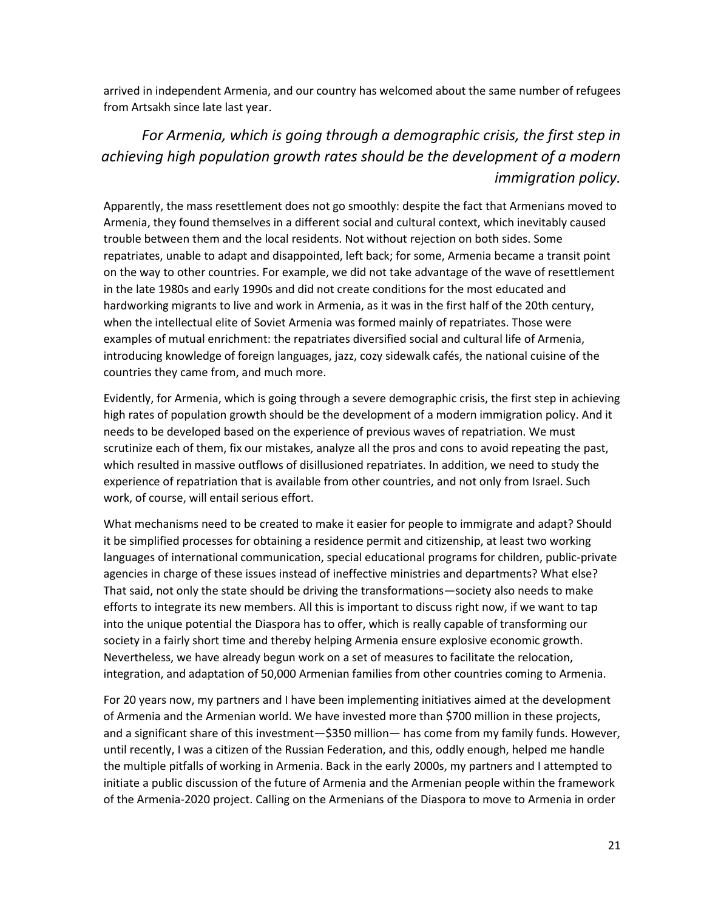arrived in independent Armenia, and our country has welcomed about the same number of refugees from Artsakh since late last year.

# *For Armenia, which is going through a demographic crisis, the first step in achieving high population growth rates should be the development of a modern immigration policy.*

Apparently, the mass resettlement does not go smoothly: despite the fact that Armenians moved to Armenia, they found themselves in a different social and cultural context, which inevitably caused trouble between them and the local residents. Not without rejection on both sides. Some repatriates, unable to adapt and disappointed, left back; for some, Armenia became a transit point on the way to other countries. For example, we did not take advantage of the wave of resettlement in the late 1980s and early 1990s and did not create conditions for the most educated and hardworking migrants to live and work in Armenia, as it was in the first half of the 20th century, when the intellectual elite of Soviet Armenia was formed mainly of repatriates. Those were examples of mutual enrichment: the repatriates diversified social and cultural life of Armenia, introducing knowledge of foreign languages, jazz, cozy sidewalk cafés, the national cuisine of the countries they came from, and much more.

Evidently, for Armenia, which is going through a severe demographic crisis, the first step in achieving high rates of population growth should be the development of a modern immigration policy. And it needs to be developed based on the experience of previous waves of repatriation. We must scrutinize each of them, fix our mistakes, analyze all the pros and cons to avoid repeating the past, which resulted in massive outflows of disillusioned repatriates. In addition, we need to study the experience of repatriation that is available from other countries, and not only from Israel. Such work, of course, will entail serious effort.

What mechanisms need to be created to make it easier for people to immigrate and adapt? Should it be simplified processes for obtaining a residence permit and citizenship, at least two working languages of international communication, special educational programs for children, public-private agencies in charge of these issues instead of ineffective ministries and departments? What else? That said, not only the state should be driving the transformations—society also needs to make efforts to integrate its new members. All this is important to discuss right now, if we want to tap into the unique potential the Diaspora has to offer, which is really capable of transforming our society in a fairly short time and thereby helping Armenia ensure explosive economic growth. Nevertheless, we have already begun work on a set of measures to facilitate the relocation, integration, and adaptation of 50,000 Armenian families from other countries coming to Armenia.

For 20 years now, my partners and I have been implementing initiatives aimed at the development of Armenia and the Armenian world. We have invested more than \$700 million in these projects, and a significant share of this investment—\$350 million— has come from my family funds. However, until recently, I was a citizen of the Russian Federation, and this, oddly enough, helped me handle the multiple pitfalls of working in Armenia. Back in the early 2000s, my partners and I attempted to initiate a public discussion of the future of Armenia and the Armenian people within the framework of the Armenia-2020 project. Calling on the Armenians of the Diaspora to move to Armenia in order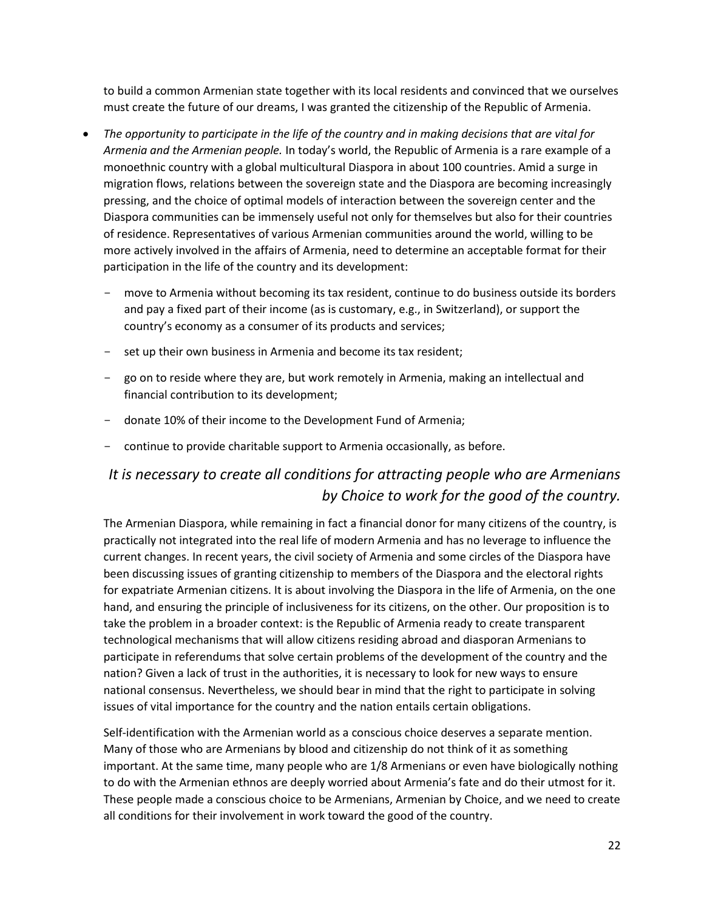to build a common Armenian state together with its local residents and convinced that we ourselves must create the future of our dreams, I was granted the citizenship of the Republic of Armenia.

- *The opportunity to participate in the life of the country and in making decisions that are vital for Armenia and the Armenian people.* In today's world, the Republic of Armenia is a rare example of a monoethnic country with a global multicultural Diaspora in about 100 countries. Amid a surge in migration flows, relations between the sovereign state and the Diaspora are becoming increasingly pressing, and the choice of optimal models of interaction between the sovereign center and the Diaspora communities can be immensely useful not only for themselves but also for their countries of residence. Representatives of various Armenian communities around the world, willing to be more actively involved in the affairs of Armenia, need to determine an acceptable format for their participation in the life of the country and its development:
	- move to Armenia without becoming its tax resident, continue to do business outside its borders and pay a fixed part of their income (as is customary, e.g., in Switzerland), or support the country's economy as a consumer of its products and services;
	- set up their own business in Armenia and become its tax resident;
	- go on to reside where they are, but work remotely in Armenia, making an intellectual and financial contribution to its development;
	- donate 10% of their income to the Development Fund of Armenia;
	- continue to provide charitable support to Armenia occasionally, as before.

### *It is necessary to create all conditions for attracting people who are Armenians by Choice to work for the good of the country.*

The Armenian Diaspora, while remaining in fact a financial donor for many citizens of the country, is practically not integrated into the real life of modern Armenia and has no leverage to influence the current changes. In recent years, the civil society of Armenia and some circles of the Diaspora have been discussing issues of granting citizenship to members of the Diaspora and the electoral rights for expatriate Armenian citizens. It is about involving the Diaspora in the life of Armenia, on the one hand, and ensuring the principle of inclusiveness for its citizens, on the other. Our proposition is to take the problem in a broader context: is the Republic of Armenia ready to create transparent technological mechanisms that will allow citizens residing abroad and diasporan Armenians to participate in referendums that solve certain problems of the development of the country and the nation? Given a lack of trust in the authorities, it is necessary to look for new ways to ensure national consensus. Nevertheless, we should bear in mind that the right to participate in solving issues of vital importance for the country and the nation entails certain obligations.

Self-identification with the Armenian world as a conscious choice deserves a separate mention. Many of those who are Armenians by blood and citizenship do not think of it as something important. At the same time, many people who are 1/8 Armenians or even have biologically nothing to do with the Armenian ethnos are deeply worried about Armenia's fate and do their utmost for it. These people made a conscious choice to be Armenians, Armenian by Choice, and we need to create all conditions for their involvement in work toward the good of the country.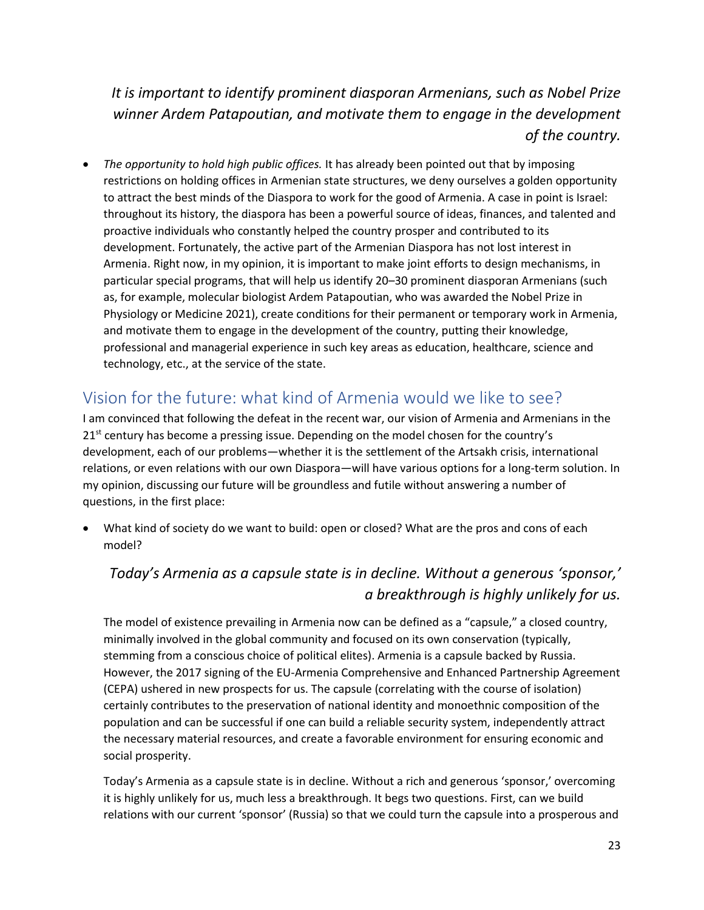# *It is important to identify prominent diasporan Armenians, such as Nobel Prize winner Ardem Patapoutian, and motivate them to engage in the development of the country.*

• *The opportunity to hold high public offices.* It has already been pointed out that by imposing restrictions on holding offices in Armenian state structures, we deny ourselves a golden opportunity to attract the best minds of the Diaspora to work for the good of Armenia. A case in point is Israel: throughout its history, the diaspora has been a powerful source of ideas, finances, and talented and proactive individuals who constantly helped the country prosper and contributed to its development. Fortunately, the active part of the Armenian Diaspora has not lost interest in Armenia. Right now, in my opinion, it is important to make joint efforts to design mechanisms, in particular special programs, that will help us identify 20–30 prominent diasporan Armenians (such as, for example, molecular biologist Ardem Patapoutian, who was awarded the Nobel Prize in Physiology or Medicine 2021), create conditions for their permanent or temporary work in Armenia, and motivate them to engage in the development of the country, putting their knowledge, professional and managerial experience in such key areas as education, healthcare, science and technology, etc., at the service of the state.

# <span id="page-22-0"></span>Vision for the future: what kind of Armenia would we like to see?

I am convinced that following the defeat in the recent war, our vision of Armenia and Armenians in the  $21<sup>st</sup>$  century has become a pressing issue. Depending on the model chosen for the country's development, each of our problems—whether it is the settlement of the Artsakh crisis, international relations, or even relations with our own Diaspora—will have various options for a long-term solution. In my opinion, discussing our future will be groundless and futile without answering a number of questions, in the first place:

• What kind of society do we want to build: open or closed? What are the pros and cons of each model?

# *Today's Armenia as a capsule state is in decline. Without a generous 'sponsor,' a breakthrough is highly unlikely for us.*

The model of existence prevailing in Armenia now can be defined as a "capsule," a closed country, minimally involved in the global community and focused on its own conservation (typically, stemming from a conscious choice of political elites). Armenia is a capsule backed by Russia. However, the 2017 signing of the EU-Armenia Comprehensive and Enhanced Partnership Agreement (CEPA) ushered in new prospects for us. The capsule (correlating with the course of isolation) certainly contributes to the preservation of national identity and monoethnic composition of the population and can be successful if one can build a reliable security system, independently attract the necessary material resources, and create a favorable environment for ensuring economic and social prosperity.

Today's Armenia as a capsule state is in decline. Without a rich and generous 'sponsor,' overcoming it is highly unlikely for us, much less a breakthrough. It begs two questions. First, can we build relations with our current 'sponsor' (Russia) so that we could turn the capsule into a prosperous and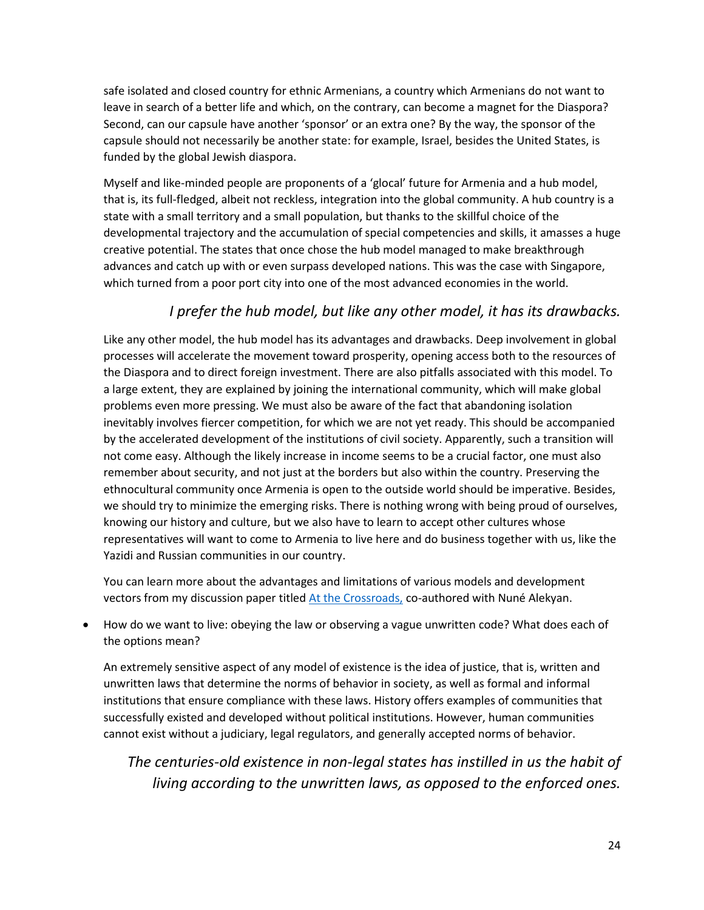safe isolated and closed country for ethnic Armenians, a country which Armenians do not want to leave in search of a better life and which, on the contrary, can become a magnet for the Diaspora? Second, can our capsule have another 'sponsor' or an extra one? By the way, the sponsor of the capsule should not necessarily be another state: for example, Israel, besides the United States, is funded by the global Jewish diaspora.

Myself and like-minded people are proponents of a 'glocal' future for Armenia and a hub model, that is, its full-fledged, albeit not reckless, integration into the global community. A hub country is a state with a small territory and a small population, but thanks to the skillful choice of the developmental trajectory and the accumulation of special competencies and skills, it amasses a huge creative potential. The states that once chose the hub model managed to make breakthrough advances and catch up with or even surpass developed nations. This was the case with Singapore, which turned from a poor port city into one of the most advanced economies in the world.

#### *I prefer the hub model, but like any other model, it has its drawbacks.*

Like any other model, the hub model has its advantages and drawbacks. Deep involvement in global processes will accelerate the movement toward prosperity, opening access both to the resources of the Diaspora and to direct foreign investment. There are also pitfalls associated with this model. To a large extent, they are explained by joining the international community, which will make global problems even more pressing. We must also be aware of the fact that abandoning isolation inevitably involves fiercer competition, for which we are not yet ready. This should be accompanied by the accelerated development of the institutions of civil society. Apparently, such a transition will not come easy. Although the likely increase in income seems to be a crucial factor, one must also remember about security, and not just at the borders but also within the country. Preserving the ethnocultural community once Armenia is open to the outside world should be imperative. Besides, we should try to minimize the emerging risks. There is nothing wrong with being proud of ourselves, knowing our history and culture, but we also have to learn to accept other cultures whose representatives will want to come to Armenia to live here and do business together with us, like the Yazidi and Russian communities in our country.

You can learn more about the advantages and limitations of various models and development vectors from my discussion paper title[d At the Crossroads,](https://armenia2041.org/en/at-the-crossroads) co-authored with Nuné Alekyan.

• How do we want to live: obeying the law or observing a vague unwritten code? What does each of the options mean?

An extremely sensitive aspect of any model of existence is the idea of justice, that is, written and unwritten laws that determine the norms of behavior in society, as well as formal and informal institutions that ensure compliance with these laws. History offers examples of communities that successfully existed and developed without political institutions. However, human communities cannot exist without a judiciary, legal regulators, and generally accepted norms of behavior.

## *The centuries-old existence in non-legal states has instilled in us the habit of living according to the unwritten laws, as opposed to the enforced ones.*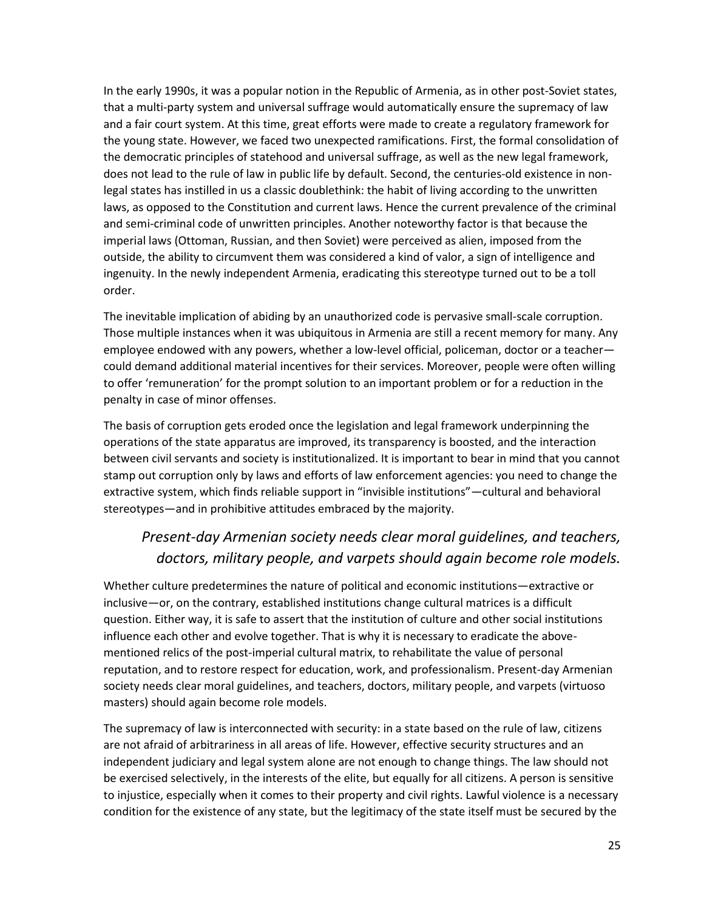In the early 1990s, it was a popular notion in the Republic of Armenia, as in other post-Soviet states, that a multi-party system and universal suffrage would automatically ensure the supremacy of law and a fair court system. At this time, great efforts were made to create a regulatory framework for the young state. However, we faced two unexpected ramifications. First, the formal consolidation of the democratic principles of statehood and universal suffrage, as well as the new legal framework, does not lead to the rule of law in public life by default. Second, the centuries-old existence in nonlegal states has instilled in us a classic doublethink: the habit of living according to the unwritten laws, as opposed to the Constitution and current laws. Hence the current prevalence of the criminal and semi-criminal code of unwritten principles. Another noteworthy factor is that because the imperial laws (Ottoman, Russian, and then Soviet) were perceived as alien, imposed from the outside, the ability to circumvent them was considered a kind of valor, a sign of intelligence and ingenuity. In the newly independent Armenia, eradicating this stereotype turned out to be a toll order.

The inevitable implication of abiding by an unauthorized code is pervasive small-scale corruption. Those multiple instances when it was ubiquitous in Armenia are still a recent memory for many. Any employee endowed with any powers, whether a low-level official, policeman, doctor or a teacher could demand additional material incentives for their services. Moreover, people were often willing to offer 'remuneration' for the prompt solution to an important problem or for a reduction in the penalty in case of minor offenses.

The basis of corruption gets eroded once the legislation and legal framework underpinning the operations of the state apparatus are improved, its transparency is boosted, and the interaction between civil servants and society is institutionalized. It is important to bear in mind that you cannot stamp out corruption only by laws and efforts of law enforcement agencies: you need to change the extractive system, which finds reliable support in "invisible institutions"—cultural and behavioral stereotypes—and in prohibitive attitudes embraced by the majority.

## *Present-day Armenian society needs clear moral guidelines, and teachers, doctors, military people, and varpets should again become role models.*

Whether culture predetermines the nature of political and economic institutions—extractive or inclusive—or, on the contrary, established institutions change cultural matrices is a difficult question. Either way, it is safe to assert that the institution of culture and other social institutions influence each other and evolve together. That is why it is necessary to eradicate the abovementioned relics of the post-imperial cultural matrix, to rehabilitate the value of personal reputation, and to restore respect for education, work, and professionalism. Present-day Armenian society needs clear moral guidelines, and teachers, doctors, military people, and varpets (virtuoso masters) should again become role models.

The supremacy of law is interconnected with security: in a state based on the rule of law, citizens are not afraid of arbitrariness in all areas of life. However, effective security structures and an independent judiciary and legal system alone are not enough to change things. The law should not be exercised selectively, in the interests of the elite, but equally for all citizens. A person is sensitive to injustice, especially when it comes to their property and civil rights. Lawful violence is a necessary condition for the existence of any state, but the legitimacy of the state itself must be secured by the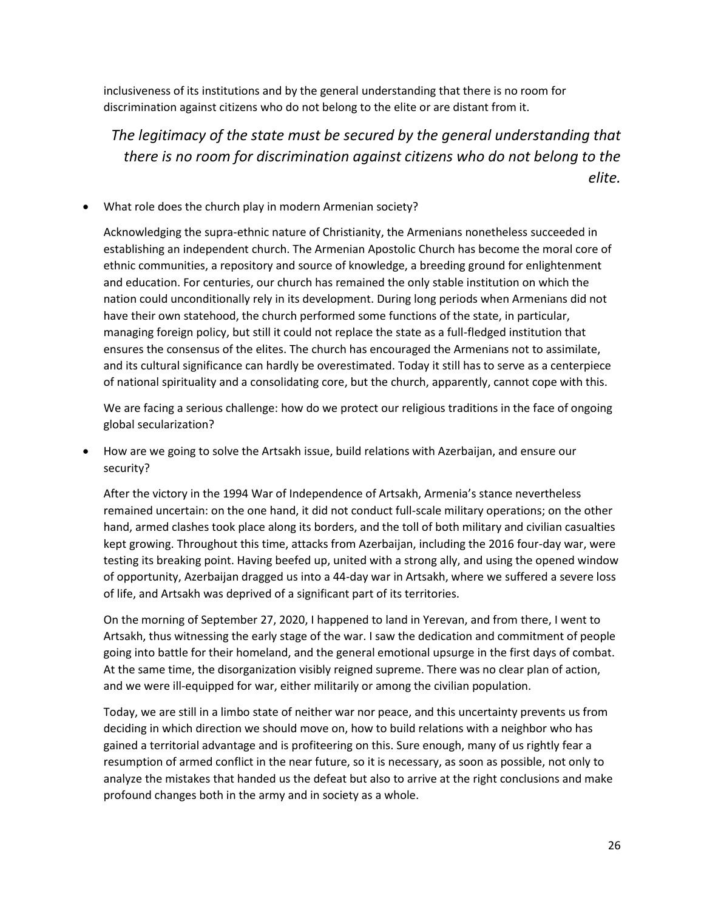inclusiveness of its institutions and by the general understanding that there is no room for discrimination against citizens who do not belong to the elite or are distant from it.

### *The legitimacy of the state must be secured by the general understanding that there is no room for discrimination against citizens who do not belong to the elite.*

#### • What role does the church play in modern Armenian society?

Acknowledging the supra-ethnic nature of Christianity, the Armenians nonetheless succeeded in establishing an independent church. The Armenian Apostolic Church has become the moral core of ethnic communities, a repository and source of knowledge, a breeding ground for enlightenment and education. For centuries, our church has remained the only stable institution on which the nation could unconditionally rely in its development. During long periods when Armenians did not have their own statehood, the church performed some functions of the state, in particular, managing foreign policy, but still it could not replace the state as a full-fledged institution that ensures the consensus of the elites. The church has encouraged the Armenians not to assimilate, and its cultural significance can hardly be overestimated. Today it still has to serve as a centerpiece of national spirituality and a consolidating core, but the church, apparently, cannot cope with this.

We are facing a serious challenge: how do we protect our religious traditions in the face of ongoing global secularization?

• How are we going to solve the Artsakh issue, build relations with Azerbaijan, and ensure our security?

After the victory in the 1994 War of Independence of Artsakh, Armenia's stance nevertheless remained uncertain: on the one hand, it did not conduct full-scale military operations; on the other hand, armed clashes took place along its borders, and the toll of both military and civilian casualties kept growing. Throughout this time, attacks from Azerbaijan, including the 2016 four-day war, were testing its breaking point. Having beefed up, united with a strong ally, and using the opened window of opportunity, Azerbaijan dragged us into a 44-day war in Artsakh, where we suffered a severe loss of life, and Artsakh was deprived of a significant part of its territories.

On the morning of September 27, 2020, I happened to land in Yerevan, and from there, I went to Artsakh, thus witnessing the early stage of the war. I saw the dedication and commitment of people going into battle for their homeland, and the general emotional upsurge in the first days of combat. At the same time, the disorganization visibly reigned supreme. There was no clear plan of action, and we were ill-equipped for war, either militarily or among the civilian population.

Today, we are still in a limbo state of neither war nor peace, and this uncertainty prevents us from deciding in which direction we should move on, how to build relations with a neighbor who has gained a territorial advantage and is profiteering on this. Sure enough, many of us rightly fear a resumption of armed conflict in the near future, so it is necessary, as soon as possible, not only to analyze the mistakes that handed us the defeat but also to arrive at the right conclusions and make profound changes both in the army and in society as a whole.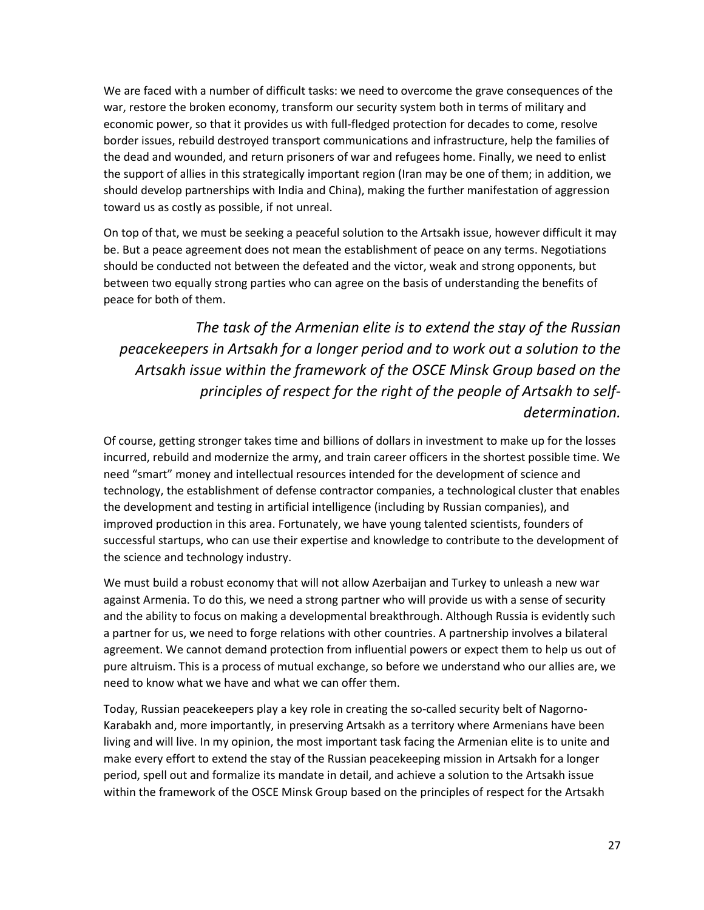We are faced with a number of difficult tasks: we need to overcome the grave consequences of the war, restore the broken economy, transform our security system both in terms of military and economic power, so that it provides us with full-fledged protection for decades to come, resolve border issues, rebuild destroyed transport communications and infrastructure, help the families of the dead and wounded, and return prisoners of war and refugees home. Finally, we need to enlist the support of allies in this strategically important region (Iran may be one of them; in addition, we should develop partnerships with India and China), making the further manifestation of aggression toward us as costly as possible, if not unreal.

On top of that, we must be seeking a peaceful solution to the Artsakh issue, however difficult it may be. But a peace agreement does not mean the establishment of peace on any terms. Negotiations should be conducted not between the defeated and the victor, weak and strong opponents, but between two equally strong parties who can agree on the basis of understanding the benefits of peace for both of them.

*The task of the Armenian elite is to extend the stay of the Russian peacekeepers in Artsakh for a longer period and to work out a solution to the Artsakh issue within the framework of the OSCE Minsk Group based on the principles of respect for the right of the people of Artsakh to selfdetermination.*

Of course, getting stronger takes time and billions of dollars in investment to make up for the losses incurred, rebuild and modernize the army, and train career officers in the shortest possible time. We need "smart" money and intellectual resources intended for the development of science and technology, the establishment of defense contractor companies, a technological cluster that enables the development and testing in artificial intelligence (including by Russian companies), and improved production in this area. Fortunately, we have young talented scientists, founders of successful startups, who can use their expertise and knowledge to contribute to the development of the science and technology industry.

We must build a robust economy that will not allow Azerbaijan and Turkey to unleash a new war against Armenia. To do this, we need a strong partner who will provide us with a sense of security and the ability to focus on making a developmental breakthrough. Although Russia is evidently such a partner for us, we need to forge relations with other countries. A partnership involves a bilateral agreement. We cannot demand protection from influential powers or expect them to help us out of pure altruism. This is a process of mutual exchange, so before we understand who our allies are, we need to know what we have and what we can offer them.

Today, Russian peacekeepers play a key role in creating the so-called security belt of Nagorno-Karabakh and, more importantly, in preserving Artsakh as a territory where Armenians have been living and will live. In my opinion, the most important task facing the Armenian elite is to unite and make every effort to extend the stay of the Russian peacekeeping mission in Artsakh for a longer period, spell out and formalize its mandate in detail, and achieve a solution to the Artsakh issue within the framework of the OSCE Minsk Group based on the principles of respect for the Artsakh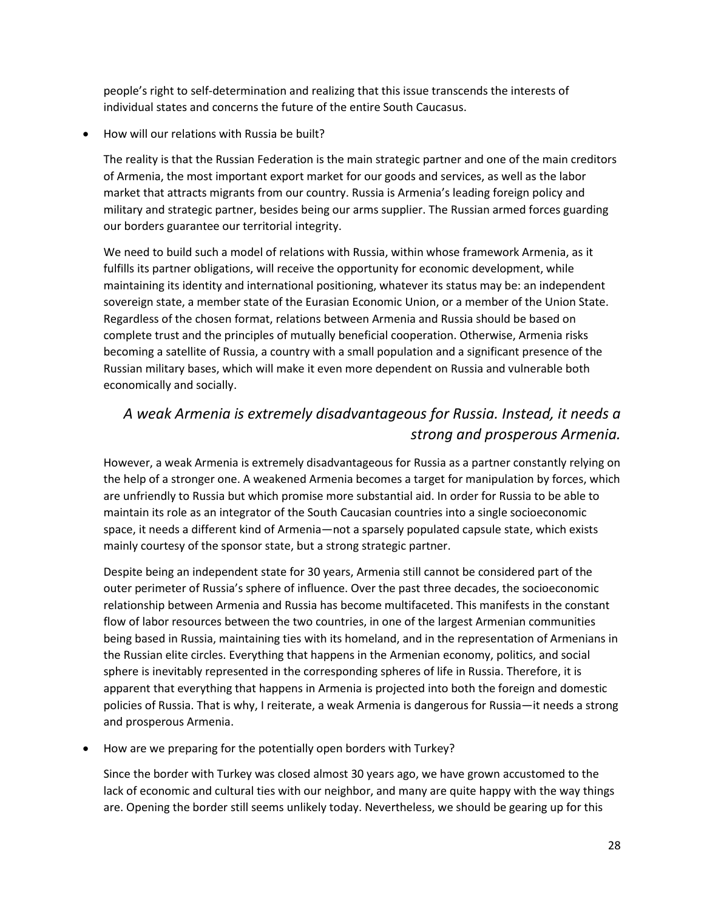people's right to self-determination and realizing that this issue transcends the interests of individual states and concerns the future of the entire South Caucasus.

• How will our relations with Russia be built?

The reality is that the Russian Federation is the main strategic partner and one of the main creditors of Armenia, the most important export market for our goods and services, as well as the labor market that attracts migrants from our country. Russia is Armenia's leading foreign policy and military and strategic partner, besides being our arms supplier. The Russian armed forces guarding our borders guarantee our territorial integrity.

We need to build such a model of relations with Russia, within whose framework Armenia, as it fulfills its partner obligations, will receive the opportunity for economic development, while maintaining its identity and international positioning, whatever its status may be: an independent sovereign state, a member state of the Eurasian Economic Union, or a member of the Union State. Regardless of the chosen format, relations between Armenia and Russia should be based on complete trust and the principles of mutually beneficial cooperation. Otherwise, Armenia risks becoming a satellite of Russia, a country with a small population and a significant presence of the Russian military bases, which will make it even more dependent on Russia and vulnerable both economically and socially.

#### *A weak Armenia is extremely disadvantageous for Russia. Instead, it needs a strong and prosperous Armenia.*

However, a weak Armenia is extremely disadvantageous for Russia as a partner constantly relying on the help of a stronger one. A weakened Armenia becomes a target for manipulation by forces, which are unfriendly to Russia but which promise more substantial aid. In order for Russia to be able to maintain its role as an integrator of the South Caucasian countries into a single socioeconomic space, it needs a different kind of Armenia—not a sparsely populated capsule state, which exists mainly courtesy of the sponsor state, but a strong strategic partner.

Despite being an independent state for 30 years, Armenia still cannot be considered part of the outer perimeter of Russia's sphere of influence. Over the past three decades, the socioeconomic relationship between Armenia and Russia has become multifaceted. This manifests in the constant flow of labor resources between the two countries, in one of the largest Armenian communities being based in Russia, maintaining ties with its homeland, and in the representation of Armenians in the Russian elite circles. Everything that happens in the Armenian economy, politics, and social sphere is inevitably represented in the corresponding spheres of life in Russia. Therefore, it is apparent that everything that happens in Armenia is projected into both the foreign and domestic policies of Russia. That is why, I reiterate, a weak Armenia is dangerous for Russia—it needs a strong and prosperous Armenia.

• How are we preparing for the potentially open borders with Turkey?

Since the border with Turkey was closed almost 30 years ago, we have grown accustomed to the lack of economic and cultural ties with our neighbor, and many are quite happy with the way things are. Opening the border still seems unlikely today. Nevertheless, we should be gearing up for this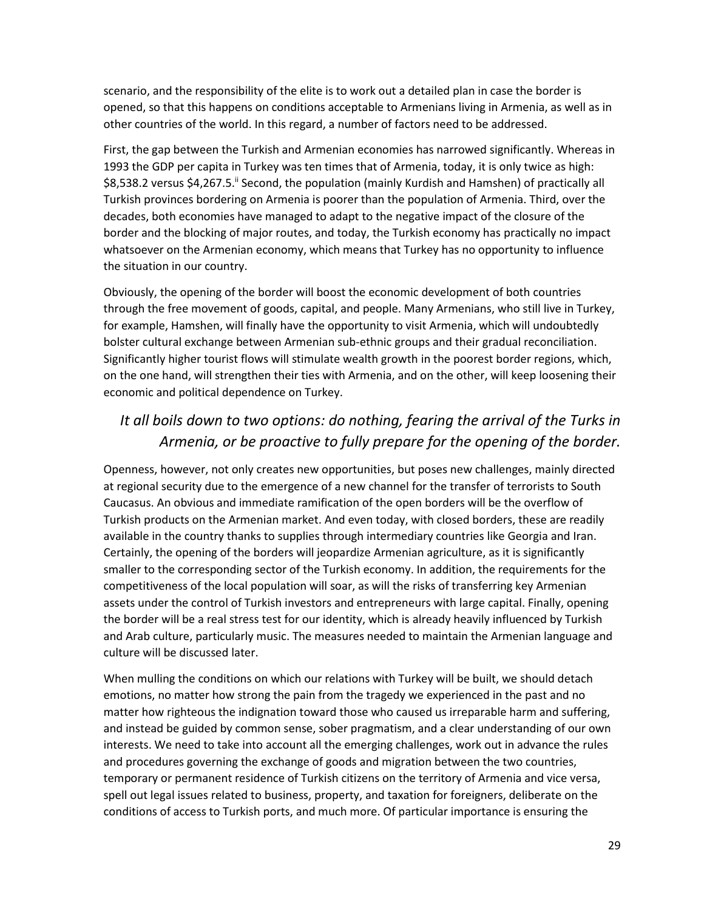scenario, and the responsibility of the elite is to work out a detailed plan in case the border is opened, so that this happens on conditions acceptable to Armenians living in Armenia, as well as in other countries of the world. In this regard, a number of factors need to be addressed.

First, the gap between the Turkish and Armenian economies has narrowed significantly. Whereas in 1993 the GDP per capita in Turkey was ten times that of Armenia, today, it is only twice as high: \$8,538.2 versus \$4,267.5.<sup>ii</sup> Second, the population (mainly Kurdish and Hamshen) of practically all Turkish provinces bordering on Armenia is poorer than the population of Armenia. Third, over the decades, both economies have managed to adapt to the negative impact of the closure of the border and the blocking of major routes, and today, the Turkish economy has practically no impact whatsoever on the Armenian economy, which means that Turkey has no opportunity to influence the situation in our country.

Obviously, the opening of the border will boost the economic development of both countries through the free movement of goods, capital, and people. Many Armenians, who still live in Turkey, for example, Hamshen, will finally have the opportunity to visit Armenia, which will undoubtedly bolster cultural exchange between Armenian sub-ethnic groups and their gradual reconciliation. Significantly higher tourist flows will stimulate wealth growth in the poorest border regions, which, on the one hand, will strengthen their ties with Armenia, and on the other, will keep loosening their economic and political dependence on Turkey.

### *It all boils down to two options: do nothing, fearing the arrival of the Turks in Armenia, or be proactive to fully prepare for the opening of the border.*

Openness, however, not only creates new opportunities, but poses new challenges, mainly directed at regional security due to the emergence of a new channel for the transfer of terrorists to South Caucasus. An obvious and immediate ramification of the open borders will be the overflow of Turkish products on the Armenian market. And even today, with closed borders, these are readily available in the country thanks to supplies through intermediary countries like Georgia and Iran. Certainly, the opening of the borders will jeopardize Armenian agriculture, as it is significantly smaller to the corresponding sector of the Turkish economy. In addition, the requirements for the competitiveness of the local population will soar, as will the risks of transferring key Armenian assets under the control of Turkish investors and entrepreneurs with large capital. Finally, opening the border will be a real stress test for our identity, which is already heavily influenced by Turkish and Arab culture, particularly music. The measures needed to maintain the Armenian language and culture will be discussed later.

When mulling the conditions on which our relations with Turkey will be built, we should detach emotions, no matter how strong the pain from the tragedy we experienced in the past and no matter how righteous the indignation toward those who caused us irreparable harm and suffering, and instead be guided by common sense, sober pragmatism, and a clear understanding of our own interests. We need to take into account all the emerging challenges, work out in advance the rules and procedures governing the exchange of goods and migration between the two countries, temporary or permanent residence of Turkish citizens on the territory of Armenia and vice versa, spell out legal issues related to business, property, and taxation for foreigners, deliberate on the conditions of access to Turkish ports, and much more. Of particular importance is ensuring the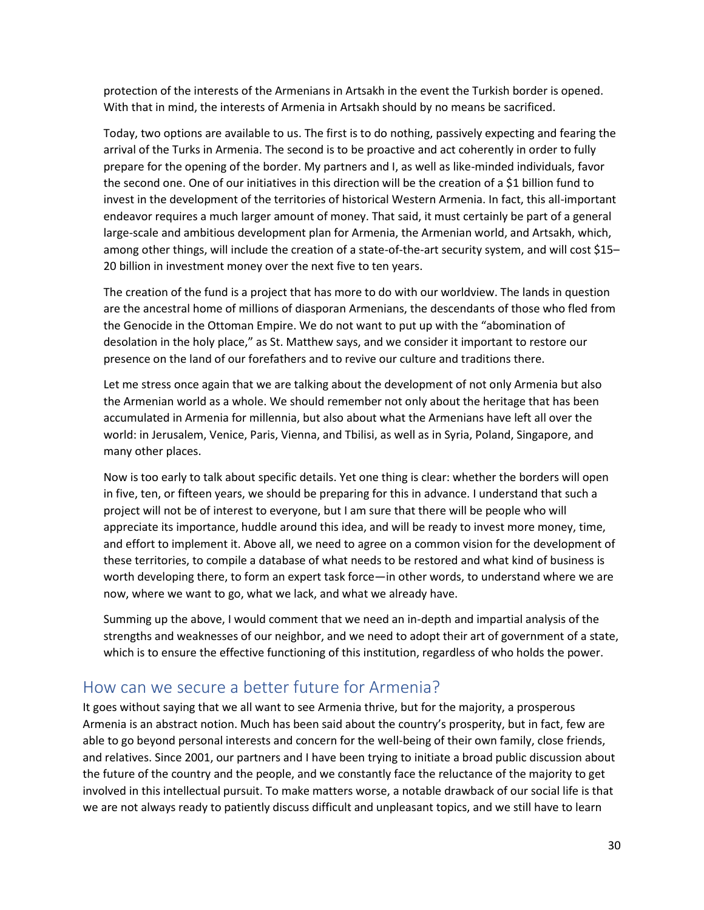protection of the interests of the Armenians in Artsakh in the event the Turkish border is opened. With that in mind, the interests of Armenia in Artsakh should by no means be sacrificed.

Today, two options are available to us. The first is to do nothing, passively expecting and fearing the arrival of the Turks in Armenia. The second is to be proactive and act coherently in order to fully prepare for the opening of the border. My partners and I, as well as like-minded individuals, favor the second one. One of our initiatives in this direction will be the creation of a \$1 billion fund to invest in the development of the territories of historical Western Armenia. In fact, this all-important endeavor requires a much larger amount of money. That said, it must certainly be part of a general large-scale and ambitious development plan for Armenia, the Armenian world, and Artsakh, which, among other things, will include the creation of a state-of-the-art security system, and will cost \$15– 20 billion in investment money over the next five to ten years.

The creation of the fund is a project that has more to do with our worldview. The lands in question are the ancestral home of millions of diasporan Armenians, the descendants of those who fled from the Genocide in the Ottoman Empire. We do not want to put up with the "abomination of desolation in the holy place," as St. Matthew says, and we consider it important to restore our presence on the land of our forefathers and to revive our culture and traditions there.

Let me stress once again that we are talking about the development of not only Armenia but also the Armenian world as a whole. We should remember not only about the heritage that has been accumulated in Armenia for millennia, but also about what the Armenians have left all over the world: in Jerusalem, Venice, Paris, Vienna, and Tbilisi, as well as in Syria, Poland, Singapore, and many other places.

Now is too early to talk about specific details. Yet one thing is clear: whether the borders will open in five, ten, or fifteen years, we should be preparing for this in advance. I understand that such a project will not be of interest to everyone, but I am sure that there will be people who will appreciate its importance, huddle around this idea, and will be ready to invest more money, time, and effort to implement it. Above all, we need to agree on a common vision for the development of these territories, to compile a database of what needs to be restored and what kind of business is worth developing there, to form an expert task force—in other words, to understand where we are now, where we want to go, what we lack, and what we already have.

Summing up the above, I would comment that we need an in-depth and impartial analysis of the strengths and weaknesses of our neighbor, and we need to adopt their art of government of a state, which is to ensure the effective functioning of this institution, regardless of who holds the power.

## <span id="page-29-0"></span>How can we secure a better future for Armenia?

It goes without saying that we all want to see Armenia thrive, but for the majority, a prosperous Armenia is an abstract notion. Much has been said about the country's prosperity, but in fact, few are able to go beyond personal interests and concern for the well-being of their own family, close friends, and relatives. Since 2001, our partners and I have been trying to initiate a broad public discussion about the future of the country and the people, and we constantly face the reluctance of the majority to get involved in this intellectual pursuit. To make matters worse, a notable drawback of our social life is that we are not always ready to patiently discuss difficult and unpleasant topics, and we still have to learn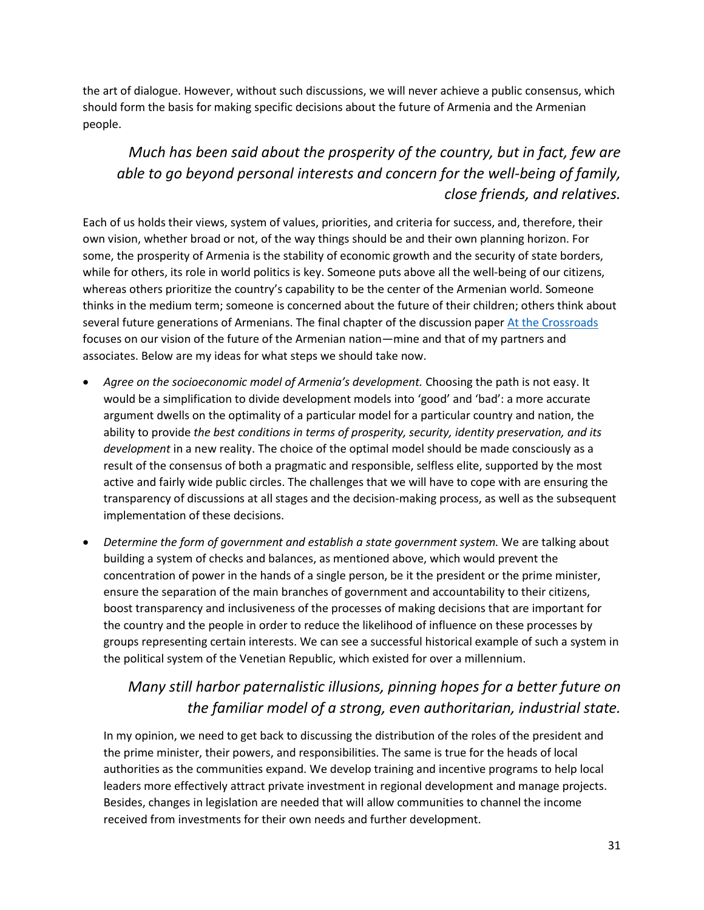the art of dialogue. However, without such discussions, we will never achieve a public consensus, which should form the basis for making specific decisions about the future of Armenia and the Armenian people.

## *Much has been said about the prosperity of the country, but in fact, few are able to go beyond personal interests and concern for the well-being of family, close friends, and relatives.*

Each of us holds their views, system of values, priorities, and criteria for success, and, therefore, their own vision, whether broad or not, of the way things should be and their own planning horizon. For some, the prosperity of Armenia is the stability of economic growth and the security of state borders, while for others, its role in world politics is key. Someone puts above all the well-being of our citizens, whereas others prioritize the country's capability to be the center of the Armenian world. Someone thinks in the medium term; someone is concerned about the future of their children; others think about several future generations of Armenians. The final chapter of the discussion paper [At the Crossroads](https://armenia2041.org/en/at-the-crossroads) focuses on our vision of the future of the Armenian nation—mine and that of my partners and associates. Below are my ideas for what steps we should take now.

- *Agree on the socioeconomic model of Armenia's development.* Choosing the path is not easy. It would be a simplification to divide development models into 'good' and 'bad': a more accurate argument dwells on the optimality of a particular model for a particular country and nation, the ability to provide *the best conditions in terms of prosperity, security, identity preservation, and its development* in a new reality. The choice of the optimal model should be made consciously as a result of the consensus of both a pragmatic and responsible, selfless elite, supported by the most active and fairly wide public circles. The challenges that we will have to cope with are ensuring the transparency of discussions at all stages and the decision-making process, as well as the subsequent implementation of these decisions.
- *Determine the form of government and establish a state government system.* We are talking about building a system of checks and balances, as mentioned above, which would prevent the concentration of power in the hands of a single person, be it the president or the prime minister, ensure the separation of the main branches of government and accountability to their citizens, boost transparency and inclusiveness of the processes of making decisions that are important for the country and the people in order to reduce the likelihood of influence on these processes by groups representing certain interests. We can see a successful historical example of such a system in the political system of the Venetian Republic, which existed for over a millennium.

## *Many still harbor paternalistic illusions, pinning hopes for a better future on the familiar model of a strong, even authoritarian, industrial state.*

In my opinion, we need to get back to discussing the distribution of the roles of the president and the prime minister, their powers, and responsibilities. The same is true for the heads of local authorities as the communities expand. We develop training and incentive programs to help local leaders more effectively attract private investment in regional development and manage projects. Besides, changes in legislation are needed that will allow communities to channel the income received from investments for their own needs and further development.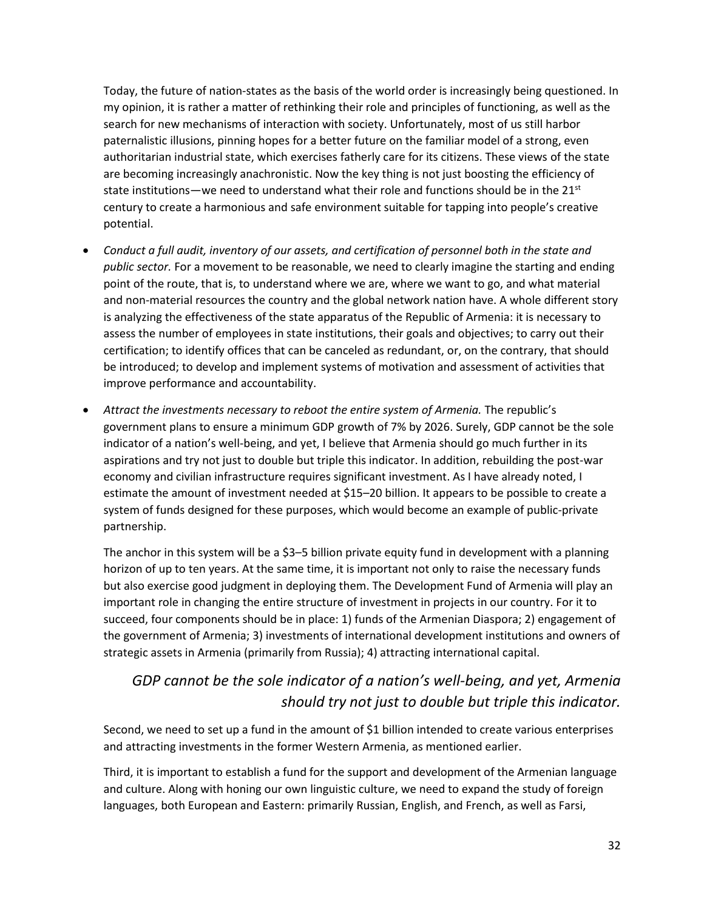Today, the future of nation-states as the basis of the world order is increasingly being questioned. In my opinion, it is rather a matter of rethinking their role and principles of functioning, as well as the search for new mechanisms of interaction with society. Unfortunately, most of us still harbor paternalistic illusions, pinning hopes for a better future on the familiar model of a strong, even authoritarian industrial state, which exercises fatherly care for its citizens. These views of the state are becoming increasingly anachronistic. Now the key thing is not just boosting the efficiency of state institutions—we need to understand what their role and functions should be in the 21st century to create a harmonious and safe environment suitable for tapping into people's creative potential.

- *Conduct a full audit, inventory of our assets, and certification of personnel both in the state and public sector.* For a movement to be reasonable, we need to clearly imagine the starting and ending point of the route, that is, to understand where we are, where we want to go, and what material and non-material resources the country and the global network nation have. A whole different story is analyzing the effectiveness of the state apparatus of the Republic of Armenia: it is necessary to assess the number of employees in state institutions, their goals and objectives; to carry out their certification; to identify offices that can be canceled as redundant, or, on the contrary, that should be introduced; to develop and implement systems of motivation and assessment of activities that improve performance and accountability.
- *Attract the investments necessary to reboot the entire system of Armenia.* The republic's government plans to ensure a minimum GDP growth of 7% by 2026. Surely, GDP cannot be the sole indicator of a nation's well-being, and yet, I believe that Armenia should go much further in its aspirations and try not just to double but triple this indicator. In addition, rebuilding the post-war economy and civilian infrastructure requires significant investment. As I have already noted, I estimate the amount of investment needed at \$15–20 billion. It appears to be possible to create a system of funds designed for these purposes, which would become an example of public-private partnership.

The anchor in this system will be a \$3–5 billion private equity fund in development with a planning horizon of up to ten years. At the same time, it is important not only to raise the necessary funds but also exercise good judgment in deploying them. The Development Fund of Armenia will play an important role in changing the entire structure of investment in projects in our country. For it to succeed, four components should be in place: 1) funds of the Armenian Diaspora; 2) engagement of the government of Armenia; 3) investments of international development institutions and owners of strategic assets in Armenia (primarily from Russia); 4) attracting international capital.

#### *GDP cannot be the sole indicator of a nation's well-being, and yet, Armenia should try not just to double but triple this indicator.*

Second, we need to set up a fund in the amount of \$1 billion intended to create various enterprises and attracting investments in the former Western Armenia, as mentioned earlier.

Third, it is important to establish a fund for the support and development of the Armenian language and culture. Along with honing our own linguistic culture, we need to expand the study of foreign languages, both European and Eastern: primarily Russian, English, and French, as well as Farsi,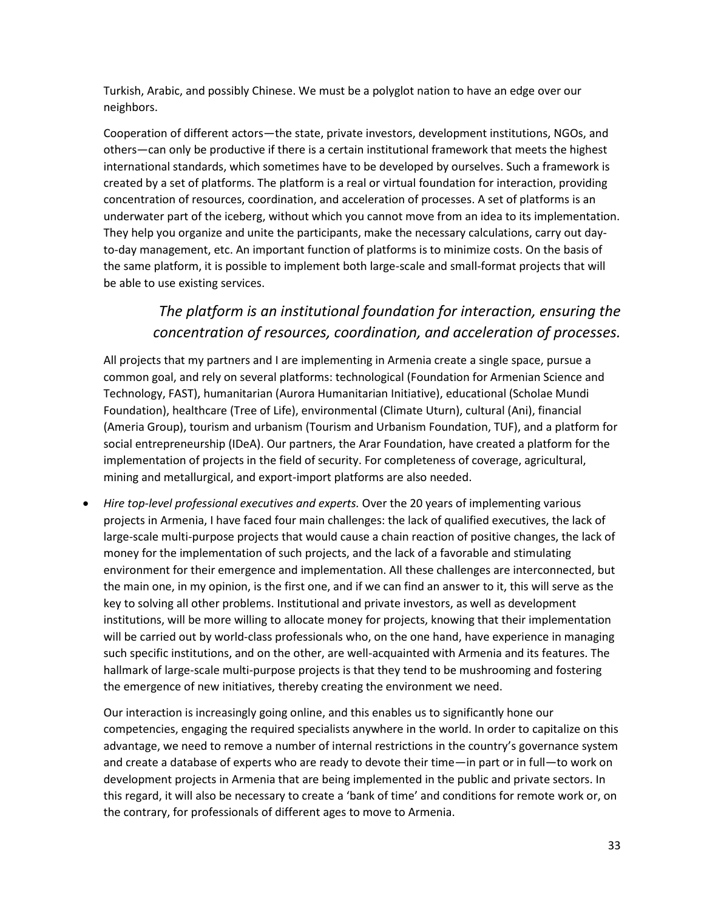Turkish, Arabic, and possibly Chinese. We must be a polyglot nation to have an edge over our neighbors.

Cooperation of different actors—the state, private investors, development institutions, NGOs, and others—can only be productive if there is a certain institutional framework that meets the highest international standards, which sometimes have to be developed by ourselves. Such a framework is created by a set of platforms. The platform is a real or virtual foundation for interaction, providing concentration of resources, coordination, and acceleration of processes. A set of platforms is an underwater part of the iceberg, without which you cannot move from an idea to its implementation. They help you organize and unite the participants, make the necessary calculations, carry out dayto-day management, etc. An important function of platforms is to minimize costs. On the basis of the same platform, it is possible to implement both large-scale and small-format projects that will be able to use existing services.

### *The platform is an institutional foundation for interaction, ensuring the concentration of resources, coordination, and acceleration of processes.*

All projects that my partners and I are implementing in Armenia create a single space, pursue a common goal, and rely on several platforms: technological (Foundation for Armenian Science and Technology, FAST), humanitarian (Aurora Humanitarian Initiative), educational (Scholae Mundi Foundation), healthcare (Tree of Life), environmental (Climate Uturn), cultural (Ani), financial (Ameria Group), tourism and urbanism (Tourism and Urbanism Foundation, TUF), and a platform for social entrepreneurship (IDeA). Our partners, the Arar Foundation, have created a platform for the implementation of projects in the field of security. For completeness of coverage, agricultural, mining and metallurgical, and export-import platforms are also needed.

• *Hire top-level professional executives and experts.* Over the 20 years of implementing various projects in Armenia, I have faced four main challenges: the lack of qualified executives, the lack of large-scale multi-purpose projects that would cause a chain reaction of positive changes, the lack of money for the implementation of such projects, and the lack of a favorable and stimulating environment for their emergence and implementation. All these challenges are interconnected, but the main one, in my opinion, is the first one, and if we can find an answer to it, this will serve as the key to solving all other problems. Institutional and private investors, as well as development institutions, will be more willing to allocate money for projects, knowing that their implementation will be carried out by world-class professionals who, on the one hand, have experience in managing such specific institutions, and on the other, are well-acquainted with Armenia and its features. The hallmark of large-scale multi-purpose projects is that they tend to be mushrooming and fostering the emergence of new initiatives, thereby creating the environment we need.

Our interaction is increasingly going online, and this enables us to significantly hone our competencies, engaging the required specialists anywhere in the world. In order to capitalize on this advantage, we need to remove a number of internal restrictions in the country's governance system and create a database of experts who are ready to devote their time—in part or in full—to work on development projects in Armenia that are being implemented in the public and private sectors. In this regard, it will also be necessary to create a 'bank of time' and conditions for remote work or, on the contrary, for professionals of different ages to move to Armenia.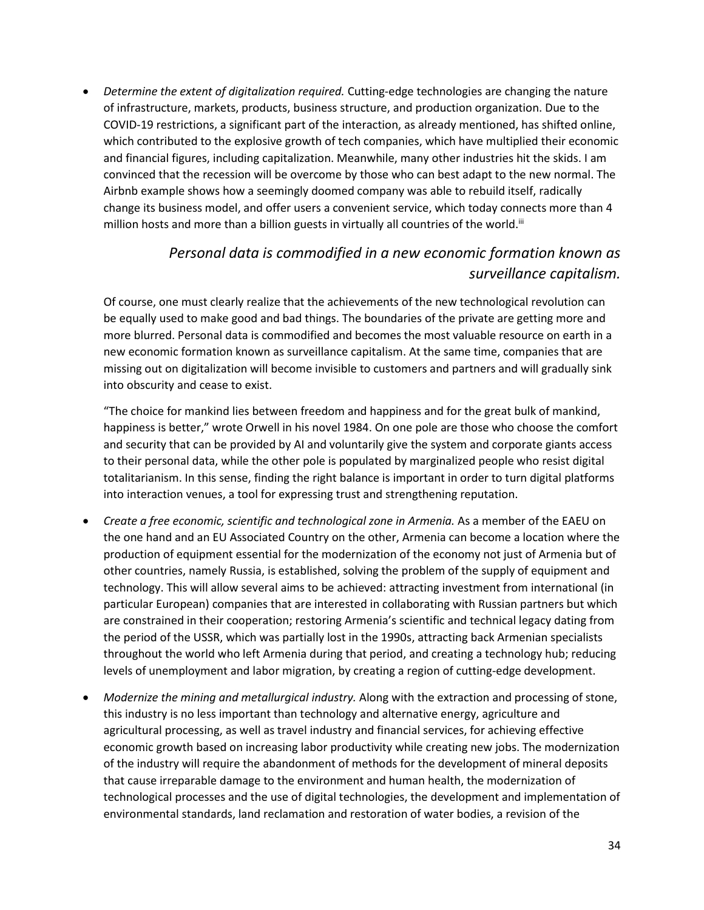• *Determine the extent of digitalization required.* Cutting-edge technologies are changing the nature of infrastructure, markets, products, business structure, and production organization. Due to the COVID-19 restrictions, a significant part of the interaction, as already mentioned, has shifted online, which contributed to the explosive growth of tech companies, which have multiplied their economic and financial figures, including capitalization. Meanwhile, many other industries hit the skids. I am convinced that the recession will be overcome by those who can best adapt to the new normal. The Airbnb example shows how a seemingly doomed company was able to rebuild itself, radically change its business model, and offer users a convenient service, which today connects more than 4 million hosts and more than a billion guests in virtually all countries of the world. $^{\parallel\parallel}$ 

#### *Personal data is commodified in a new economic formation known as surveillance capitalism.*

Of course, one must clearly realize that the achievements of the new technological revolution can be equally used to make good and bad things. The boundaries of the private are getting more and more blurred. Personal data is commodified and becomes the most valuable resource on earth in a new economic formation known as surveillance capitalism. At the same time, companies that are missing out on digitalization will become invisible to customers and partners and will gradually sink into obscurity and cease to exist.

"The choice for mankind lies between freedom and happiness and for the great bulk of mankind, happiness is better," wrote Orwell in his novel 1984. On one pole are those who choose the comfort and security that can be provided by AI and voluntarily give the system and corporate giants access to their personal data, while the other pole is populated by marginalized people who resist digital totalitarianism. In this sense, finding the right balance is important in order to turn digital platforms into interaction venues, a tool for expressing trust and strengthening reputation.

- *Create a free economic, scientific and technological zone in Armenia.* As a member of the EAEU on the one hand and an EU Associated Country on the other, Armenia can become a location where the production of equipment essential for the modernization of the economy not just of Armenia but of other countries, namely Russia, is established, solving the problem of the supply of equipment and technology. This will allow several aims to be achieved: attracting investment from international (in particular European) companies that are interested in collaborating with Russian partners but which are constrained in their cooperation; restoring Armenia's scientific and technical legacy dating from the period of the USSR, which was partially lost in the 1990s, attracting back Armenian specialists throughout the world who left Armenia during that period, and creating a technology hub; reducing levels of unemployment and labor migration, by creating a region of cutting-edge development.
- *Modernize the mining and metallurgical industry.* Along with the extraction and processing of stone, this industry is no less important than technology and alternative energy, agriculture and agricultural processing, as well as travel industry and financial services, for achieving effective economic growth based on increasing labor productivity while creating new jobs. The modernization of the industry will require the abandonment of methods for the development of mineral deposits that cause irreparable damage to the environment and human health, the modernization of technological processes and the use of digital technologies, the development and implementation of environmental standards, land reclamation and restoration of water bodies, a revision of the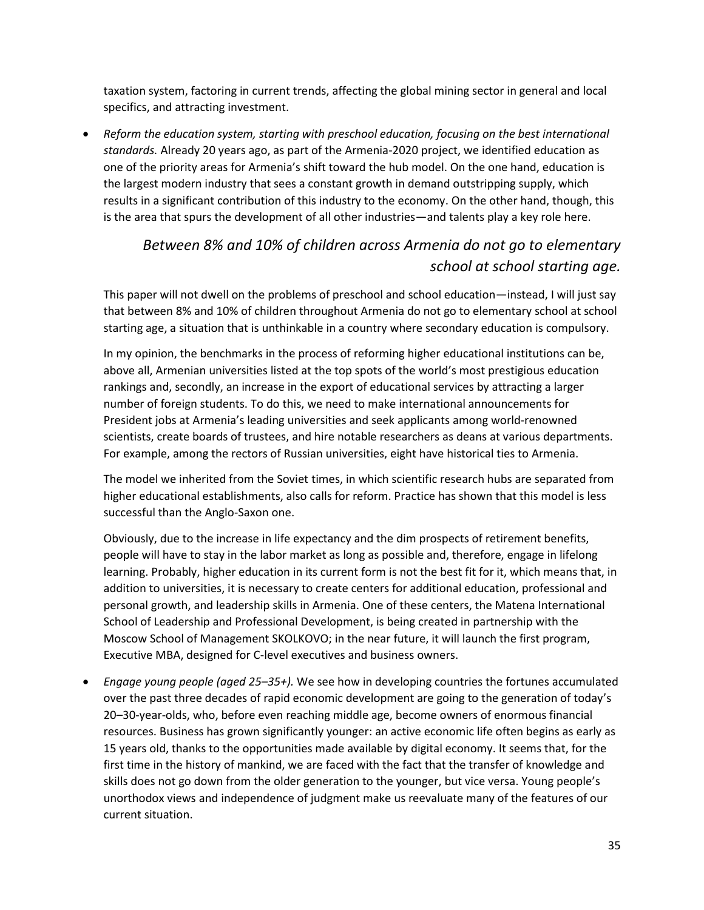taxation system, factoring in current trends, affecting the global mining sector in general and local specifics, and attracting investment.

• *Reform the education system, starting with preschool education, focusing on the best international standards.* Already 20 years ago, as part of the Armenia-2020 project, we identified education as one of the priority areas for Armenia's shift toward the hub model. On the one hand, education is the largest modern industry that sees a constant growth in demand outstripping supply, which results in a significant contribution of this industry to the economy. On the other hand, though, this is the area that spurs the development of all other industries—and talents play a key role here.

#### *Between 8% and 10% of children across Armenia do not go to elementary school at school starting age.*

This paper will not dwell on the problems of preschool and school education—instead, I will just say that between 8% and 10% of children throughout Armenia do not go to elementary school at school starting age, a situation that is unthinkable in a country where secondary education is compulsory.

In my opinion, the benchmarks in the process of reforming higher educational institutions can be, above all, Armenian universities listed at the top spots of the world's most prestigious education rankings and, secondly, an increase in the export of educational services by attracting a larger number of foreign students. To do this, we need to make international announcements for President jobs at Armenia's leading universities and seek applicants among world-renowned scientists, create boards of trustees, and hire notable researchers as deans at various departments. For example, among the rectors of Russian universities, eight have historical ties to Armenia.

The model we inherited from the Soviet times, in which scientific research hubs are separated from higher educational establishments, also calls for reform. Practice has shown that this model is less successful than the Anglo-Saxon one.

Obviously, due to the increase in life expectancy and the dim prospects of retirement benefits, people will have to stay in the labor market as long as possible and, therefore, engage in lifelong learning. Probably, higher education in its current form is not the best fit for it, which means that, in addition to universities, it is necessary to create centers for additional education, professional and personal growth, and leadership skills in Armenia. One of these centers, the Matena International School of Leadership and Professional Development, is being created in partnership with the Moscow School of Management SKOLKOVO; in the near future, it will launch the first program, Executive MBA, designed for C-level executives and business owners.

• *Engage young people (aged 25–35+).* We see how in developing countries the fortunes accumulated over the past three decades of rapid economic development are going to the generation of today's 20–30-year-olds, who, before even reaching middle age, become owners of enormous financial resources. Business has grown significantly younger: an active economic life often begins as early as 15 years old, thanks to the opportunities made available by digital economy. It seems that, for the first time in the history of mankind, we are faced with the fact that the transfer of knowledge and skills does not go down from the older generation to the younger, but vice versa. Young people's unorthodox views and independence of judgment make us reevaluate many of the features of our current situation.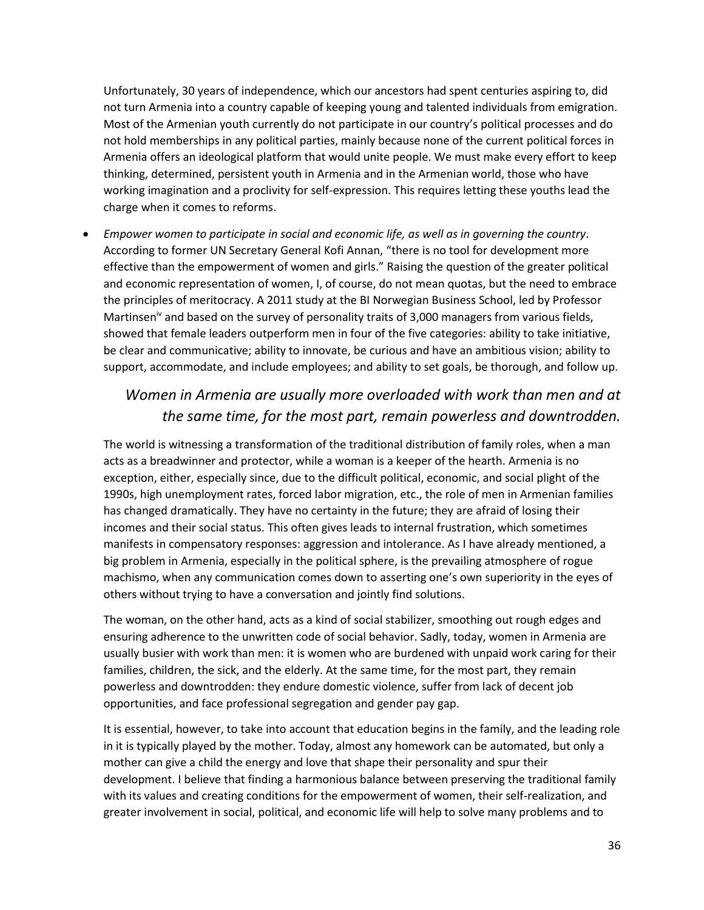Unfortunately, 30 years of independence, which our ancestors had spent centuries aspiring to, did not turn Armenia into a country capable of keeping young and talented individuals from emigration. Most of the Armenian youth currently do not participate in our country's political processes and do not hold memberships in any political parties, mainly because none of the current political forces in Armenia offers an ideological platform that would unite people. We must make every effort to keep thinking, determined, persistent youth in Armenia and in the Armenian world, those who have working imagination and a proclivity for self-expression. This requires letting these youths lead the charge when it comes to reforms.

• *Empower women to participate in social and economic life, as well as in governing the country*. According to former UN Secretary General Kofi Annan, "there is no tool for development more effective than the empowerment of women and girls." Raising the question of the greater political and economic representation of women, I, of course, do not mean quotas, but the need to embrace the principles of meritocracy. A 2011 study at the BI Norwegian Business School, led by Professor Martinsen<sup>iv</sup> and based on the survey of personality traits of 3,000 managers from various fields, showed that female leaders outperform men in four of the five categories: ability to take initiative, be clear and communicative; ability to innovate, be curious and have an ambitious vision; ability to support, accommodate, and include employees; and ability to set goals, be thorough, and follow up.

#### *Women in Armenia are usually more overloaded with work than men and at the same time, for the most part, remain powerless and downtrodden.*

The world is witnessing a transformation of the traditional distribution of family roles, when a man acts as a breadwinner and protector, while a woman is a keeper of the hearth. Armenia is no exception, either, especially since, due to the difficult political, economic, and social plight of the 1990s, high unemployment rates, forced labor migration, etc., the role of men in Armenian families has changed dramatically. They have no certainty in the future; they are afraid of losing their incomes and their social status. This often gives leads to internal frustration, which sometimes manifests in compensatory responses: aggression and intolerance. As I have already mentioned, a big problem in Armenia, especially in the political sphere, is the prevailing atmosphere of rogue machismo, when any communication comes down to asserting one's own superiority in the eyes of others without trying to have a conversation and jointly find solutions.

The woman, on the other hand, acts as a kind of social stabilizer, smoothing out rough edges and ensuring adherence to the unwritten code of social behavior. Sadly, today, women in Armenia are usually busier with work than men: it is women who are burdened with unpaid work caring for their families, children, the sick, and the elderly. At the same time, for the most part, they remain powerless and downtrodden: they endure domestic violence, suffer from lack of decent job opportunities, and face professional segregation and gender pay gap.

It is essential, however, to take into account that education begins in the family, and the leading role in it is typically played by the mother. Today, almost any homework can be automated, but only a mother can give a child the energy and love that shape their personality and spur their development. I believe that finding a harmonious balance between preserving the traditional family with its values and creating conditions for the empowerment of women, their self-realization, and greater involvement in social, political, and economic life will help to solve many problems and to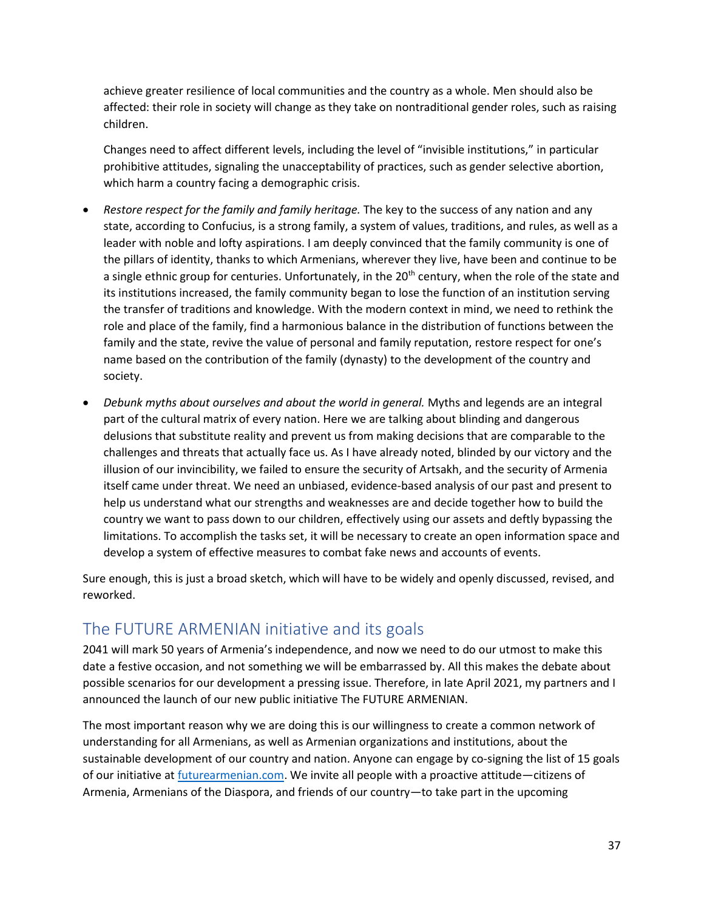achieve greater resilience of local communities and the country as a whole. Men should also be affected: their role in society will change as they take on nontraditional gender roles, such as raising children.

Changes need to affect different levels, including the level of "invisible institutions," in particular prohibitive attitudes, signaling the unacceptability of practices, such as gender selective abortion, which harm a country facing a demographic crisis.

- *Restore respect for the family and family heritage.* The key to the success of any nation and any state, according to Confucius, is a strong family, a system of values, traditions, and rules, as well as a leader with noble and lofty aspirations. I am deeply convinced that the family community is one of the pillars of identity, thanks to which Armenians, wherever they live, have been and continue to be a single ethnic group for centuries. Unfortunately, in the  $20<sup>th</sup>$  century, when the role of the state and its institutions increased, the family community began to lose the function of an institution serving the transfer of traditions and knowledge. With the modern context in mind, we need to rethink the role and place of the family, find a harmonious balance in the distribution of functions between the family and the state, revive the value of personal and family reputation, restore respect for one's name based on the contribution of the family (dynasty) to the development of the country and society.
- *Debunk myths about ourselves and about the world in general.* Myths and legends are an integral part of the cultural matrix of every nation. Here we are talking about blinding and dangerous delusions that substitute reality and prevent us from making decisions that are comparable to the challenges and threats that actually face us. As I have already noted, blinded by our victory and the illusion of our invincibility, we failed to ensure the security of Artsakh, and the security of Armenia itself came under threat. We need an unbiased, evidence-based analysis of our past and present to help us understand what our strengths and weaknesses are and decide together how to build the country we want to pass down to our children, effectively using our assets and deftly bypassing the limitations. To accomplish the tasks set, it will be necessary to create an open information space and develop a system of effective measures to combat fake news and accounts of events.

Sure enough, this is just a broad sketch, which will have to be widely and openly discussed, revised, and reworked.

## <span id="page-36-0"></span>The FUTURE ARMENIAN initiative and its goals

2041 will mark 50 years of Armenia's independence, and now we need to do our utmost to make this date a festive occasion, and not something we will be embarrassed by. All this makes the debate about possible scenarios for our development a pressing issue. Therefore, in late April 2021, my partners and I announced the launch of our new public initiative The FUTURE ARMENIAN.

The most important reason why we are doing this is our willingness to create a common network of understanding for all Armenians, as well as Armenian organizations and institutions, about the sustainable development of our country and nation. Anyone can engage by co-signing the list of 15 goals of our initiative a[t futurearmenian.com.](https://futurearmenian.com/) We invite all people with a proactive attitude—citizens of Armenia, Armenians of the Diaspora, and friends of our country—to take part in the upcoming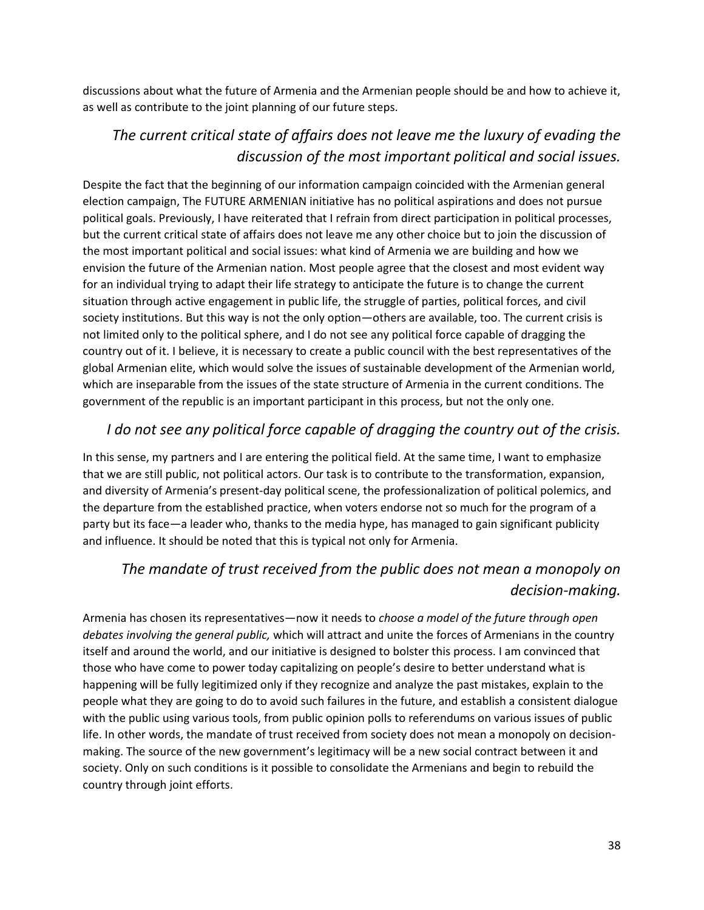discussions about what the future of Armenia and the Armenian people should be and how to achieve it, as well as contribute to the joint planning of our future steps.

# *The current critical state of affairs does not leave me the luxury of evading the discussion of the most important political and social issues.*

Despite the fact that the beginning of our information campaign coincided with the Armenian general election campaign, The FUTURE ARMENIAN initiative has no political aspirations and does not pursue political goals. Previously, I have reiterated that I refrain from direct participation in political processes, but the current critical state of affairs does not leave me any other choice but to join the discussion of the most important political and social issues: what kind of Armenia we are building and how we envision the future of the Armenian nation. Most people agree that the closest and most evident way for an individual trying to adapt their life strategy to anticipate the future is to change the current situation through active engagement in public life, the struggle of parties, political forces, and civil society institutions. But this way is not the only option—others are available, too. The current crisis is not limited only to the political sphere, and I do not see any political force capable of dragging the country out of it. I believe, it is necessary to create a public council with the best representatives of the global Armenian elite, which would solve the issues of sustainable development of the Armenian world, which are inseparable from the issues of the state structure of Armenia in the current conditions. The government of the republic is an important participant in this process, but not the only one.

#### *I do not see any political force capable of dragging the country out of the crisis.*

In this sense, my partners and I are entering the political field. At the same time, I want to emphasize that we are still public, not political actors. Our task is to contribute to the transformation, expansion, and diversity of Armenia's present-day political scene, the professionalization of political polemics, and the departure from the established practice, when voters endorse not so much for the program of a party but its face—a leader who, thanks to the media hype, has managed to gain significant publicity and influence. It should be noted that this is typical not only for Armenia.

## *The mandate of trust received from the public does not mean a monopoly on decision-making.*

Armenia has chosen its representatives—now it needs to *choose a model of the future through open debates involving the general public,* which will attract and unite the forces of Armenians in the country itself and around the world, and our initiative is designed to bolster this process. I am convinced that those who have come to power today capitalizing on people's desire to better understand what is happening will be fully legitimized only if they recognize and analyze the past mistakes, explain to the people what they are going to do to avoid such failures in the future, and establish a consistent dialogue with the public using various tools, from public opinion polls to referendums on various issues of public life. In other words, the mandate of trust received from society does not mean a monopoly on decisionmaking. The source of the new government's legitimacy will be a new social contract between it and society. Only on such conditions is it possible to consolidate the Armenians and begin to rebuild the country through joint efforts.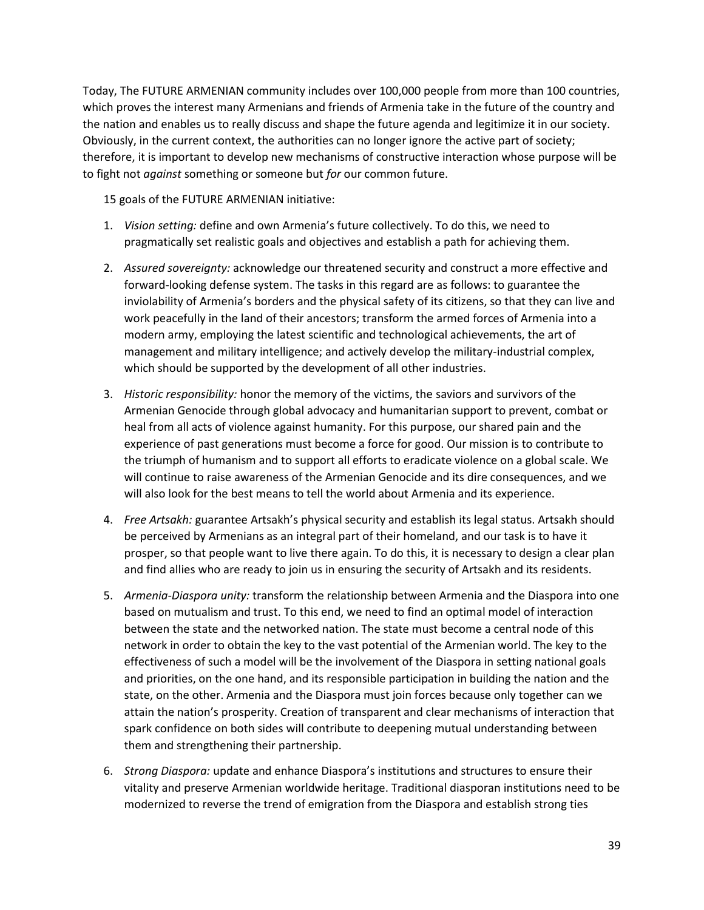Today, The FUTURE ARMENIAN community includes over 100,000 people from more than 100 countries, which proves the interest many Armenians and friends of Armenia take in the future of the country and the nation and enables us to really discuss and shape the future agenda and legitimize it in our society. Obviously, in the current context, the authorities can no longer ignore the active part of society; therefore, it is important to develop new mechanisms of constructive interaction whose purpose will be to fight not *against* something or someone but *for* our common future.

15 goals of the FUTURE ARMENIAN initiative:

- 1. *Vision setting:* define and own Armenia's future collectively. To do this, we need to pragmatically set realistic goals and objectives and establish a path for achieving them.
- 2. *Assured sovereignty:* acknowledge our threatened security and construct a more effective and forward-looking defense system. The tasks in this regard are as follows: to guarantee the inviolability of Armenia's borders and the physical safety of its citizens, so that they can live and work peacefully in the land of their ancestors; transform the armed forces of Armenia into a modern army, employing the latest scientific and technological achievements, the art of management and military intelligence; and actively develop the military-industrial complex, which should be supported by the development of all other industries.
- 3. *Historic responsibility:* honor the memory of the victims, the saviors and survivors of the Armenian Genocide through global advocacy and humanitarian support to prevent, combat or heal from all acts of violence against humanity. For this purpose, our shared pain and the experience of past generations must become a force for good. Our mission is to contribute to the triumph of humanism and to support all efforts to eradicate violence on a global scale. We will continue to raise awareness of the Armenian Genocide and its dire consequences, and we will also look for the best means to tell the world about Armenia and its experience.
- 4. *Free Artsakh:* guarantee Artsakh's physical security and establish its legal status. Artsakh should be perceived by Armenians as an integral part of their homeland, and our task is to have it prosper, so that people want to live there again. To do this, it is necessary to design a clear plan and find allies who are ready to join us in ensuring the security of Artsakh and its residents.
- 5. *Armenia-Diaspora unity:* transform the relationship between Armenia and the Diaspora into one based on mutualism and trust. To this end, we need to find an optimal model of interaction between the state and the networked nation. The state must become a central node of this network in order to obtain the key to the vast potential of the Armenian world. The key to the effectiveness of such a model will be the involvement of the Diaspora in setting national goals and priorities, on the one hand, and its responsible participation in building the nation and the state, on the other. Armenia and the Diaspora must join forces because only together can we attain the nation's prosperity. Creation of transparent and clear mechanisms of interaction that spark confidence on both sides will contribute to deepening mutual understanding between them and strengthening their partnership.
- 6. *Strong Diaspora:* update and enhance Diaspora's institutions and structures to ensure their vitality and preserve Armenian worldwide heritage. Traditional diasporan institutions need to be modernized to reverse the trend of emigration from the Diaspora and establish strong ties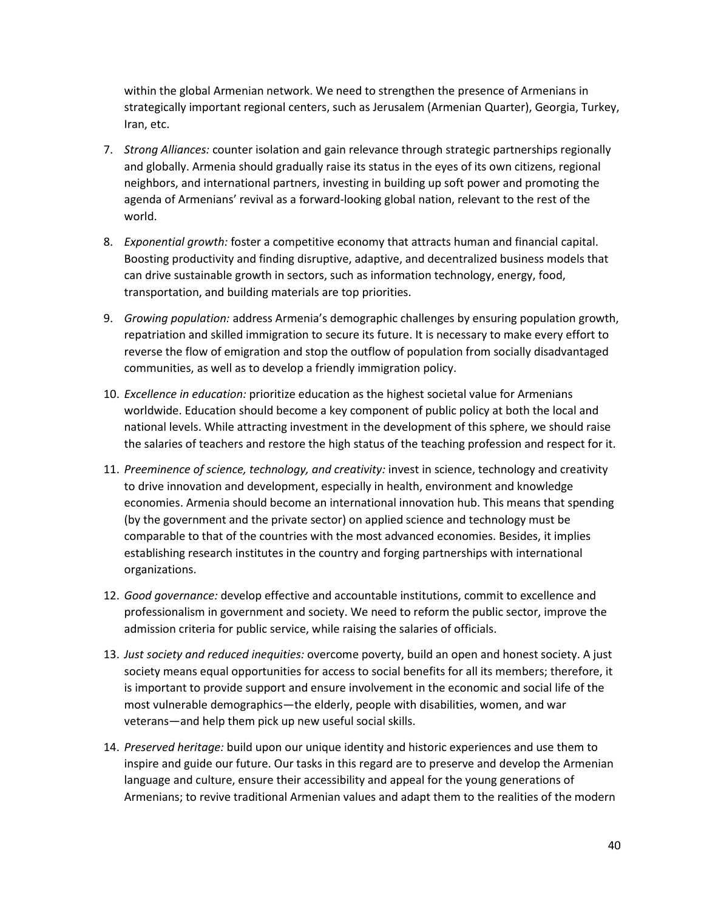within the global Armenian network. We need to strengthen the presence of Armenians in strategically important regional centers, such as Jerusalem (Armenian Quarter), Georgia, Turkey, Iran, etc.

- 7. *Strong Alliances:* counter isolation and gain relevance through strategic partnerships regionally and globally. Armenia should gradually raise its status in the eyes of its own citizens, regional neighbors, and international partners, investing in building up soft power and promoting the agenda of Armenians' revival as a forward-looking global nation, relevant to the rest of the world.
- 8. *Exponential growth:* foster a competitive economy that attracts human and financial capital. Boosting productivity and finding disruptive, adaptive, and decentralized business models that can drive sustainable growth in sectors, such as information technology, energy, food, transportation, and building materials are top priorities.
- 9. *Growing population:* address Armenia's demographic challenges by ensuring population growth, repatriation and skilled immigration to secure its future. It is necessary to make every effort to reverse the flow of emigration and stop the outflow of population from socially disadvantaged communities, as well as to develop a friendly immigration policy.
- 10. *Excellence in education:* prioritize education as the highest societal value for Armenians worldwide. Education should become a key component of public policy at both the local and national levels. While attracting investment in the development of this sphere, we should raise the salaries of teachers and restore the high status of the teaching profession and respect for it.
- 11. *Preeminence of science, technology, and creativity:* invest in science, technology and creativity to drive innovation and development, especially in health, environment and knowledge economies. Armenia should become an international innovation hub. This means that spending (by the government and the private sector) on applied science and technology must be comparable to that of the countries with the most advanced economies. Besides, it implies establishing research institutes in the country and forging partnerships with international organizations.
- 12. *Good governance:* develop effective and accountable institutions, commit to excellence and professionalism in government and society. We need to reform the public sector, improve the admission criteria for public service, while raising the salaries of officials.
- 13. *Just society and reduced inequities:* overcome poverty, build an open and honest society. A just society means equal opportunities for access to social benefits for all its members; therefore, it is important to provide support and ensure involvement in the economic and social life of the most vulnerable demographics—the elderly, people with disabilities, women, and war veterans—and help them pick up new useful social skills.
- 14. *Preserved heritage:* build upon our unique identity and historic experiences and use them to inspire and guide our future. Our tasks in this regard are to preserve and develop the Armenian language and culture, ensure their accessibility and appeal for the young generations of Armenians; to revive traditional Armenian values and adapt them to the realities of the modern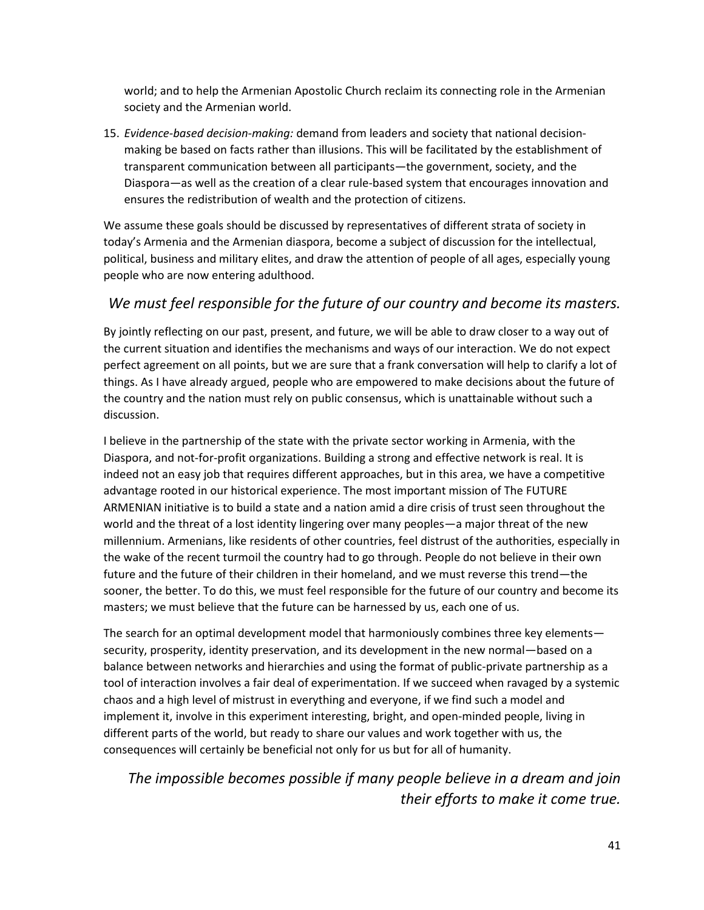world; and to help the Armenian Apostolic Church reclaim its connecting role in the Armenian society and the Armenian world.

15. *Evidence-based decision-making:* demand from leaders and society that national decisionmaking be based on facts rather than illusions. This will be facilitated by the establishment of transparent communication between all participants—the government, society, and the Diaspora—as well as the creation of a clear rule-based system that encourages innovation and ensures the redistribution of wealth and the protection of citizens.

We assume these goals should be discussed by representatives of different strata of society in today's Armenia and the Armenian diaspora, become a subject of discussion for the intellectual, political, business and military elites, and draw the attention of people of all ages, especially young people who are now entering adulthood.

#### *We must feel responsible for the future of our country and become its masters.*

By jointly reflecting on our past, present, and future, we will be able to draw closer to a way out of the current situation and identifies the mechanisms and ways of our interaction. We do not expect perfect agreement on all points, but we are sure that a frank conversation will help to clarify a lot of things. As I have already argued, people who are empowered to make decisions about the future of the country and the nation must rely on public consensus, which is unattainable without such a discussion.

I believe in the partnership of the state with the private sector working in Armenia, with the Diaspora, and not-for-profit organizations. Building a strong and effective network is real. It is indeed not an easy job that requires different approaches, but in this area, we have a competitive advantage rooted in our historical experience. The most important mission of The FUTURE ARMENIAN initiative is to build a state and a nation amid a dire crisis of trust seen throughout the world and the threat of a lost identity lingering over many peoples—a major threat of the new millennium. Armenians, like residents of other countries, feel distrust of the authorities, especially in the wake of the recent turmoil the country had to go through. People do not believe in their own future and the future of their children in their homeland, and we must reverse this trend—the sooner, the better. To do this, we must feel responsible for the future of our country and become its masters; we must believe that the future can be harnessed by us, each one of us.

The search for an optimal development model that harmoniously combines three key elements security, prosperity, identity preservation, and its development in the new normal—based on a balance between networks and hierarchies and using the format of public-private partnership as a tool of interaction involves a fair deal of experimentation. If we succeed when ravaged by a systemic chaos and a high level of mistrust in everything and everyone, if we find such a model and implement it, involve in this experiment interesting, bright, and open-minded people, living in different parts of the world, but ready to share our values and work together with us, the consequences will certainly be beneficial not only for us but for all of humanity.

### *The impossible becomes possible if many people believe in a dream and join their efforts to make it come true.*